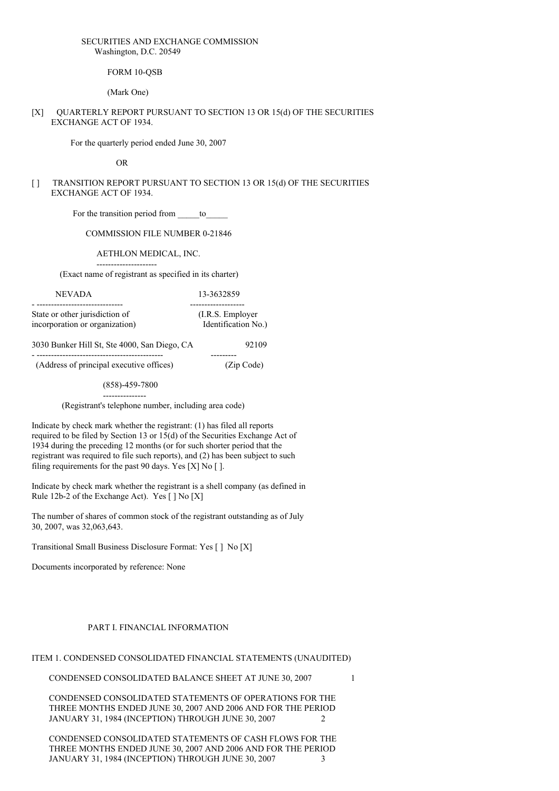#### SECURITIES AND EXCHANGE COMMISSION Washington, D.C. 20549

#### FORM 10-OSB

(Mark One)

[X] QUARTERLY REPORT PURSUANT TO SECTION 13 OR 15(d) OF THE SECURITIES EXCHANGE ACT OF 1934.

For the quarterly period ended June 30, 2007

OR

## [ ] TRANSITION REPORT PURSUANT TO SECTION 13 OR 15(d) OF THE SECURITIES EXCHANGE ACT OF 1934.

For the transition period from to

COMMISSION FILE NUMBER 0-21846

## AETHLON MEDICAL, INC.

--------------------- (Exact name of registrant as specified in its charter)

NEVADA 13-3632859

# - ------------------------------ -------------------

State or other jurisdiction of (I.R.S. Employer incorporation or organization) Identification No.

3030 Bunker Hill St, Ste 4000, San Diego, CA 92109 - -------------------------------------------- ---------

(Address of principal executive offices) (Zip Code)

(858)-459-7800 ---------------

(Registrant's telephone number, including area code)

Indicate by check mark whether the registrant: (1) has filed all reports required to be filed by Section 13 or 15(d) of the Securities Exchange Act of 1934 during the preceding 12 months (or for such shorter period that the registrant was required to file such reports), and (2) has been subject to such filing requirements for the past 90 days. Yes [X] No [ ].

Indicate by check mark whether the registrant is a shell company (as defined in Rule 12b-2 of the Exchange Act). Yes [ ] No [X]

The number of shares of common stock of the registrant outstanding as of July 30, 2007, was 32,063,643.

Transitional Small Business Disclosure Format: Yes [ ] No [X]

Documents incorporated by reference: None

### PART I. FINANCIAL INFORMATION

## ITEM 1. CONDENSED CONSOLIDATED FINANCIAL STATEMENTS (UNAUDITED)

CONDENSED CONSOLIDATED BALANCE SHEET AT JUNE 30, 2007 1

CONDENSED CONSOLIDATED STATEMENTS OF OPERATIONS FOR THE THREE MONTHS ENDED JUNE 30, 2007 AND 2006 AND FOR THE PERIOD JANUARY 31, 1984 (INCEPTION) THROUGH JUNE 30, 2007 2

CONDENSED CONSOLIDATED STATEMENTS OF CASH FLOWS FOR THE THREE MONTHS ENDED JUNE 30, 2007 AND 2006 AND FOR THE PERIOD JANUARY 31, 1984 (INCEPTION) THROUGH JUNE 30, 2007 3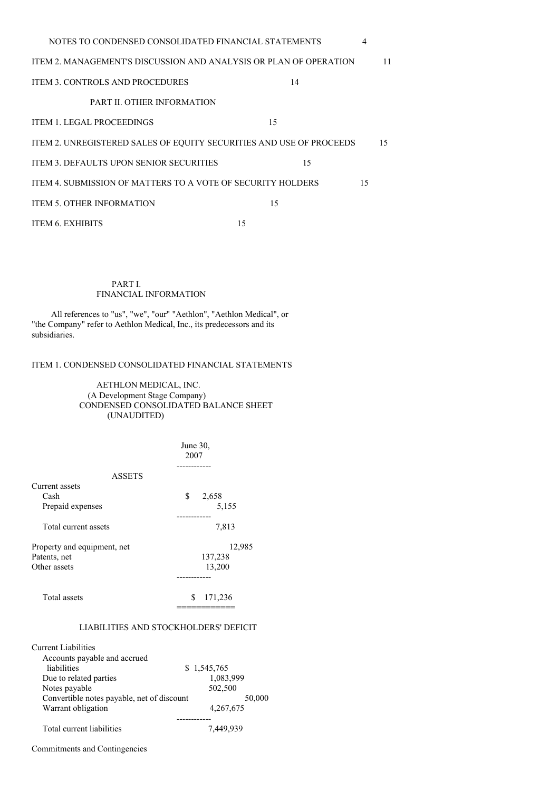| NOTES TO CONDENSED CONSOLIDATED FINANCIAL STATEMENTS                |    | 4  |    |
|---------------------------------------------------------------------|----|----|----|
| ITEM 2. MANAGEMENT'S DISCUSSION AND ANALYSIS OR PLAN OF OPERATION   |    |    | 11 |
| <b>ITEM 3. CONTROLS AND PROCEDURES</b>                              | 14 |    |    |
| PART II. OTHER INFORMATION                                          |    |    |    |
| <b>ITEM 1. LEGAL PROCEEDINGS</b>                                    | 15 |    |    |
| ITEM 2. UNREGISTERED SALES OF EQUITY SECURITIES AND USE OF PROCEEDS |    |    | 15 |
| <b>ITEM 3. DEFAULTS UPON SENIOR SECURITIES</b>                      | 15 |    |    |
| <b>ITEM 4. SUBMISSION OF MATTERS TO A VOTE OF SECURITY HOLDERS</b>  |    | 15 |    |
| <b>ITEM 5. OTHER INFORMATION</b>                                    | 15 |    |    |
| <b>ITEM 6. EXHIBITS</b>                                             | 15 |    |    |

## PART I. FINANCIAL INFORMATION

All references to "us", "we", "our" "Aethlon", "Aethlon Medical", or "the Company" refer to Aethlon Medical, Inc., its predecessors and its subsidiaries.

## ITEM 1. CONDENSED CONSOLIDATED FINANCIAL STATEMENTS

## AETHLON MEDICAL, INC. (A Development Stage Company) CONDENSED CONSOLIDATED BALANCE SHEET (UNAUDITED)

|                             | June $30$ ,<br>2007 |           |
|-----------------------------|---------------------|-----------|
| <b>ASSETS</b>               |                     |           |
| Current assets              |                     |           |
| Cash                        | \$                  | 2,658     |
| Prepaid expenses            |                     | 5,155     |
|                             |                     | .         |
| Total current assets        |                     | 7,813     |
| Property and equipment, net |                     | 12,985    |
| Patents, net                |                     | 137,238   |
| Other assets                |                     | 13,200    |
|                             |                     | --------- |
| <b>Total</b> assets         | \$                  | 171,236   |

## LIABILITIES AND STOCKHOLDERS' DEFICIT

============

| Current Liabilities                        |             |
|--------------------------------------------|-------------|
| Accounts payable and accrued               |             |
| liabilities                                | \$1,545,765 |
| Due to related parties                     | 1,083,999   |
| Notes payable                              | 502,500     |
| Convertible notes payable, net of discount | 50,000      |
| Warrant obligation                         | 4.267.675   |
|                                            |             |
| Total current liabilities                  | 7.449.939   |

Commitments and Contingencies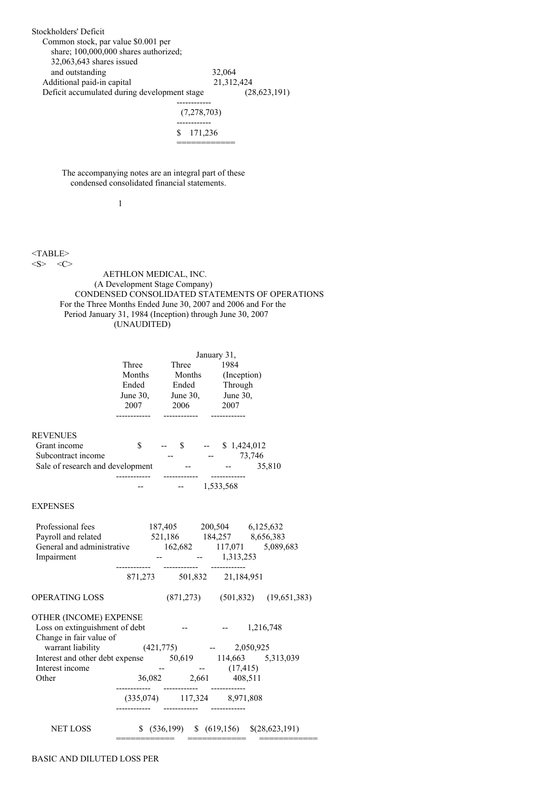Stockholders' Deficit Common stock, par value \$0.001 per share; 100,000,000 shares authorized; 32,063,643 shares issued and outstanding 32,064 Additional paid-in capital 21,312,424 Deficit accumulated during development stage (28,623,191) ------------

(7,278,703) ------------ \$ 171,236 ============

The accompanying notes are an integral part of these condensed consolidated financial statements.

1

<TABLE>

 $\langle S \rangle$   $\langle C \rangle$ 

AETHLON MEDICAL, INC. (A Development Stage Company) CONDENSED CONSOLIDATED STATEMENTS OF OPERATIONS For the Three Months Ended June 30, 2007 and 2006 and For the Period January 31, 1984 (Inception) through June 30, 2007 (UNAUDITED)

|                                                                                                                                                             | ----------- | Three Three 1984<br>Months Months (Inception)<br>Ended Ended Through<br>June 30, June 30, June 30,<br>2007 2006 2007 | January 31,                                                                                                                                                                        |
|-------------------------------------------------------------------------------------------------------------------------------------------------------------|-------------|----------------------------------------------------------------------------------------------------------------------|------------------------------------------------------------------------------------------------------------------------------------------------------------------------------------|
| <b>REVENUES</b><br>Grant income<br>Subcontract income<br>Sale of research and development<br>T3,746<br>Sale of research and development<br>T3,746<br>T3,810 |             |                                                                                                                      |                                                                                                                                                                                    |
|                                                                                                                                                             |             | $  1,533,568$                                                                                                        |                                                                                                                                                                                    |
| <b>EXPENSES</b>                                                                                                                                             |             |                                                                                                                      |                                                                                                                                                                                    |
| Professional fees<br>Payroll and related<br>S21,186 184,257 8,656,383<br>117.071 5,089,                                                                     |             |                                                                                                                      |                                                                                                                                                                                    |
|                                                                                                                                                             |             | 871,273 501,832 21,184,951                                                                                           |                                                                                                                                                                                    |
|                                                                                                                                                             |             |                                                                                                                      | OPERATING LOSS (871,273) (501,832) (19,651,383)                                                                                                                                    |
| OTHER (INCOME) EXPENSE<br>Loss on extinguishment of debt<br>Change in fair value of                                                                         |             | $(335,074)$ 117,324 8,971,808                                                                                        | $  1,216,748$<br>warrant liability (421,775) -- 2,050,925<br>Interest and other debt expense 50,619 114,663 5,313,039<br>Interest income -- (17,415)<br>Other 36,082 2,661 408,511 |
| NET LOSS                                                                                                                                                    |             |                                                                                                                      | $$$ (536,199) $$$ (619,156) $$$ (28,623,191)                                                                                                                                       |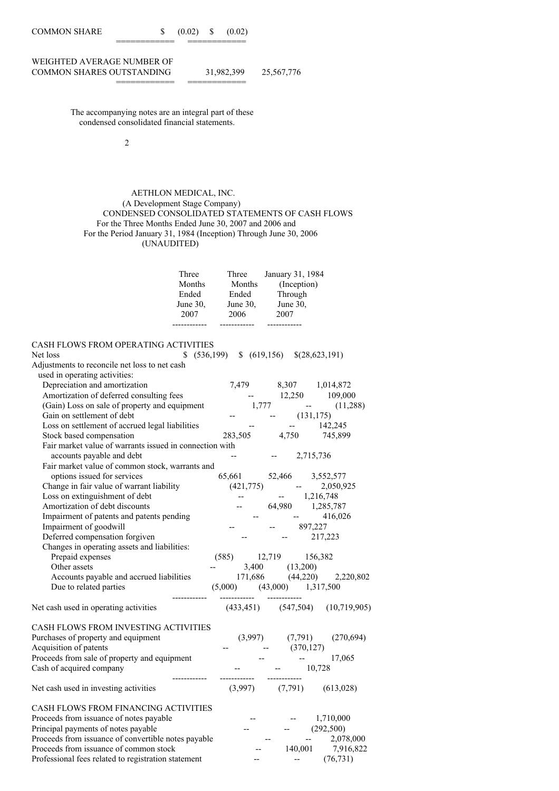## WEIGHTED AVERAGE NUMBER OF COMMON SHARES OUTSTANDING 31,982,399 25,567,776 ============ ============

The accompanying notes are an integral part of these condensed consolidated financial statements.

2

## AETHLON MEDICAL, INC. (A Development Stage Company) CONDENSED CONSOLIDATED STATEMENTS OF CASH FLOWS For the Three Months Ended June 30, 2007 and 2006 and For the Period January 31, 1984 (Inception) Through June 30, 2006 (UNAUDITED)

| Three<br>Months<br>Ended                                                       | Three<br>Ended<br>Ended Ended Through<br>June 30, June 30, June 30,<br>2007 2006 | January 31, 1984<br>Months (Inception)<br>Through<br>2007                                                               |            |
|--------------------------------------------------------------------------------|----------------------------------------------------------------------------------|-------------------------------------------------------------------------------------------------------------------------|------------|
| CASH FLOWS FROM OPERATING ACTIVITIES                                           |                                                                                  |                                                                                                                         |            |
| Net loss                                                                       |                                                                                  | $$$ (536,199) $$$ (619,156) $$$ (28,623,191)                                                                            |            |
| Adjustments to reconcile net loss to net cash<br>used in operating activities: |                                                                                  |                                                                                                                         |            |
| Depreciation and amortization                                                  |                                                                                  | $\begin{array}{rrrr} 7,479 & & 8,307 & 1,014,872 \\ - & & 12,250 & & 109,000 \\ & & 1,777 & & - & (11,288) \end{array}$ |            |
| Amortization of deferred consulting fees                                       |                                                                                  |                                                                                                                         |            |
| (Gain) Loss on sale of property and equipment                                  |                                                                                  |                                                                                                                         |            |
| Gain on settlement of debt                                                     |                                                                                  | $-$ (131,175)                                                                                                           |            |
| Loss on settlement of accrued legal liabilities                                |                                                                                  | $283,505$ $  142,245$<br>$283,505$ $4,750$ $745,899$                                                                    |            |
| Stock based compensation                                                       |                                                                                  |                                                                                                                         |            |
| Fair market value of warrants issued in connection with                        |                                                                                  |                                                                                                                         |            |
| accounts payable and debt                                                      | aan in                                                                           | $-2,715,736$                                                                                                            |            |
| Fair market value of common stock, warrants and                                |                                                                                  |                                                                                                                         |            |
| options issued for services                                                    |                                                                                  |                                                                                                                         |            |
| Change in fair value of warrant liability                                      |                                                                                  | 65,661 52,466 3,552,577<br>(421,775) -- 2,050,925                                                                       |            |
| Loss on extinguishment of debt                                                 |                                                                                  | $-1,216,748$                                                                                                            |            |
| Amortization of debt discounts                                                 |                                                                                  | 64,980 1,285,787                                                                                                        |            |
| Impairment of patents and patents pending                                      |                                                                                  | $-416,026$                                                                                                              |            |
| Impairment of goodwill                                                         |                                                                                  | $-897,227$                                                                                                              |            |
| Deferred compensation forgiven                                                 |                                                                                  |                                                                                                                         | 217,223    |
| Changes in operating assets and liabilities:                                   |                                                                                  |                                                                                                                         |            |
| Prepaid expenses<br>Other assets                                               |                                                                                  | $(585)$ 12,719 156,382<br>$-3,400$ $(13,200)$                                                                           |            |
| Accounts payable and accrued liabilities                                       |                                                                                  | 171,686 (44,220) 2,220,802                                                                                              |            |
| Due to related parties                                                         |                                                                                  | $(5,000)$ $(43,000)$ $1,317,500$                                                                                        |            |
|                                                                                |                                                                                  |                                                                                                                         |            |
| Net cash used in operating activities                                          |                                                                                  | $(433,451)$ $(547,504)$ $(10,719,905)$                                                                                  |            |
| CASH FLOWS FROM INVESTING ACTIVITIES                                           |                                                                                  |                                                                                                                         |            |
| Purchases of property and equipment                                            |                                                                                  | $(3,997)$ $(7,791)$ $(270,694)$                                                                                         |            |
| Acquisition of patents                                                         |                                                                                  | (370, 127)                                                                                                              |            |
| Proceeds from sale of property and equipment                                   |                                                                                  |                                                                                                                         | 17,065     |
| Cash of acquired company                                                       |                                                                                  | 10,728                                                                                                                  |            |
| Net cash used in investing activities                                          | (3,997)                                                                          | $(7,791)$ $(613,028)$                                                                                                   |            |
|                                                                                |                                                                                  |                                                                                                                         |            |
| CASH FLOWS FROM FINANCING ACTIVITIES                                           |                                                                                  |                                                                                                                         |            |
| Proceeds from issuance of notes payable                                        |                                                                                  |                                                                                                                         | 1,710,000  |
| Principal payments of notes payable                                            |                                                                                  |                                                                                                                         | (292, 500) |
| Proceeds from issuance of convertible notes payable                            |                                                                                  |                                                                                                                         | 2,078,000  |
| Proceeds from issuance of common stock                                         |                                                                                  | 140,001                                                                                                                 | 7,916,822  |
| Professional fees related to registration statement                            |                                                                                  |                                                                                                                         | (76, 731)  |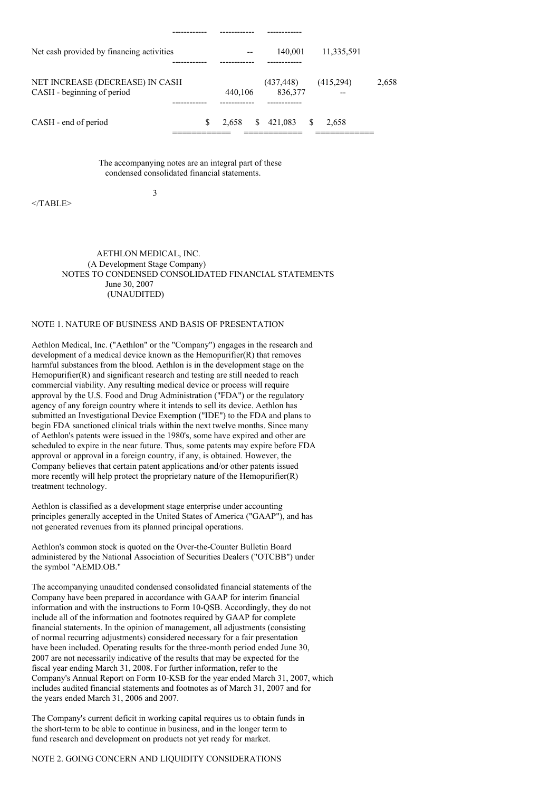| Net cash provided by financing activities                     |         | $-$ | 140,001               |   | 11,335,591         |       |
|---------------------------------------------------------------|---------|-----|-----------------------|---|--------------------|-------|
| NET INCREASE (DECREASE) IN CASH<br>CASH - beginning of period | 440.106 |     | (437, 448)<br>836,377 |   | (415,294)<br>$- -$ | 2.658 |
| CASH - end of period                                          | 2.658   | S.  | 421,083               | S | 2.658              |       |

------------ ----------- ------------

The accompanying notes are an integral part of these condensed consolidated financial statements.

</TABLE>

## AETHLON MEDICAL, INC. (A Development Stage Company) NOTES TO CONDENSED CONSOLIDATED FINANCIAL STATEMENTS June 30, 2007 (UNAUDITED)

## NOTE 1. NATURE OF BUSINESS AND BASIS OF PRESENTATION

3

Aethlon Medical, Inc. ("Aethlon" or the "Company") engages in the research and development of a medical device known as the Hemopurifier(R) that removes harmful substances from the blood. Aethlon is in the development stage on the Hemopurifier(R) and significant research and testing are still needed to reach commercial viability. Any resulting medical device or process will require approval by the U.S. Food and Drug Administration ("FDA") or the regulatory agency of any foreign country where it intends to sell its device. Aethlon has submitted an Investigational Device Exemption ("IDE") to the FDA and plans to begin FDA sanctioned clinical trials within the next twelve months. Since many of Aethlon's patents were issued in the 1980's, some have expired and other are scheduled to expire in the near future. Thus, some patents may expire before FDA approval or approval in a foreign country, if any, is obtained. However, the Company believes that certain patent applications and/or other patents issued more recently will help protect the proprietary nature of the Hemopurifier(R) treatment technology.

Aethlon is classified as a development stage enterprise under accounting principles generally accepted in the United States of America ("GAAP"), and has not generated revenues from its planned principal operations.

Aethlon's common stock is quoted on the Over-the-Counter Bulletin Board administered by the National Association of Securities Dealers ("OTCBB") under the symbol "AEMD.OB."

The accompanying unaudited condensed consolidated financial statements of the Company have been prepared in accordance with GAAP for interim financial information and with the instructions to Form 10-QSB. Accordingly, they do not include all of the information and footnotes required by GAAP for complete financial statements. In the opinion of management, all adjustments (consisting of normal recurring adjustments) considered necessary for a fair presentation have been included. Operating results for the three-month period ended June 30, 2007 are not necessarily indicative of the results that may be expected for the fiscal year ending March 31, 2008. For further information, refer to the Company's Annual Report on Form 10-KSB for the year ended March 31, 2007, which includes audited financial statements and footnotes as of March 31, 2007 and for the years ended March 31, 2006 and 2007.

The Company's current deficit in working capital requires us to obtain funds in the short-term to be able to continue in business, and in the longer term to fund research and development on products not yet ready for market.

## NOTE 2. GOING CONCERN AND LIQUIDITY CONSIDERATIONS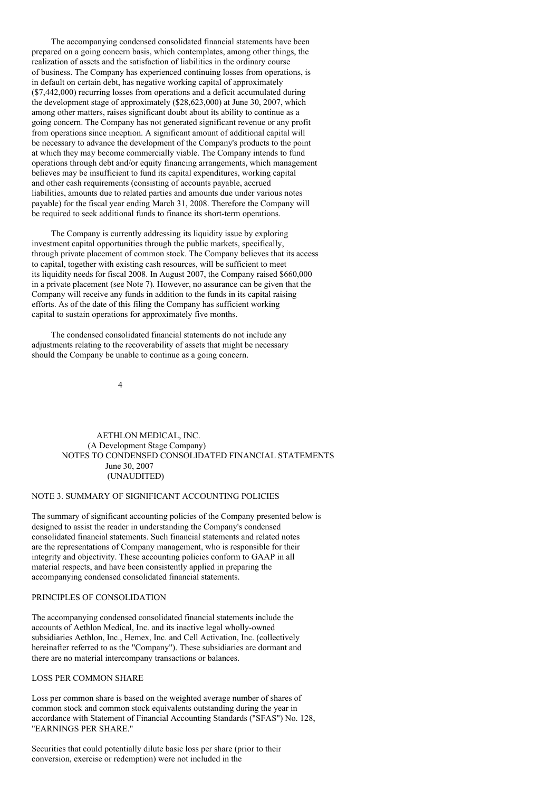The accompanying condensed consolidated financial statements have been prepared on a going concern basis, which contemplates, among other things, the realization of assets and the satisfaction of liabilities in the ordinary course of business. The Company has experienced continuing losses from operations, is in default on certain debt, has negative working capital of approximately (\$7,442,000) recurring losses from operations and a deficit accumulated during the development stage of approximately (\$28,623,000) at June 30, 2007, which among other matters, raises significant doubt about its ability to continue as a going concern. The Company has not generated significant revenue or any profit from operations since inception. A significant amount of additional capital will be necessary to advance the development of the Company's products to the point at which they may become commercially viable. The Company intends to fund operations through debt and/or equity financing arrangements, which management believes may be insufficient to fund its capital expenditures, working capital and other cash requirements (consisting of accounts payable, accrued liabilities, amounts due to related parties and amounts due under various notes payable) for the fiscal year ending March 31, 2008. Therefore the Company will be required to seek additional funds to finance its short-term operations.

The Company is currently addressing its liquidity issue by exploring investment capital opportunities through the public markets, specifically, through private placement of common stock. The Company believes that its access to capital, together with existing cash resources, will be sufficient to meet its liquidity needs for fiscal 2008. In August 2007, the Company raised \$660,000 in a private placement (see Note 7). However, no assurance can be given that the Company will receive any funds in addition to the funds in its capital raising efforts. As of the date of this filing the Company has sufficient working capital to sustain operations for approximately five months.

The condensed consolidated financial statements do not include any adjustments relating to the recoverability of assets that might be necessary should the Company be unable to continue as a going concern.

4

### AETHLON MEDICAL, INC. (A Development Stage Company) NOTES TO CONDENSED CONSOLIDATED FINANCIAL STATEMENTS June 30, 2007 (UNAUDITED)

#### NOTE 3. SUMMARY OF SIGNIFICANT ACCOUNTING POLICIES

The summary of significant accounting policies of the Company presented below is designed to assist the reader in understanding the Company's condensed consolidated financial statements. Such financial statements and related notes are the representations of Company management, who is responsible for their integrity and objectivity. These accounting policies conform to GAAP in all material respects, and have been consistently applied in preparing the accompanying condensed consolidated financial statements.

#### PRINCIPLES OF CONSOLIDATION

The accompanying condensed consolidated financial statements include the accounts of Aethlon Medical, Inc. and its inactive legal wholly-owned subsidiaries Aethlon, Inc., Hemex, Inc. and Cell Activation, Inc. (collectively hereinafter referred to as the "Company"). These subsidiaries are dormant and there are no material intercompany transactions or balances.

LOSS PER COMMON SHARE

Loss per common share is based on the weighted average number of shares of common stock and common stock equivalents outstanding during the year in accordance with Statement of Financial Accounting Standards ("SFAS") No. 128, "EARNINGS PER SHARE."

Securities that could potentially dilute basic loss per share (prior to their conversion, exercise or redemption) were not included in the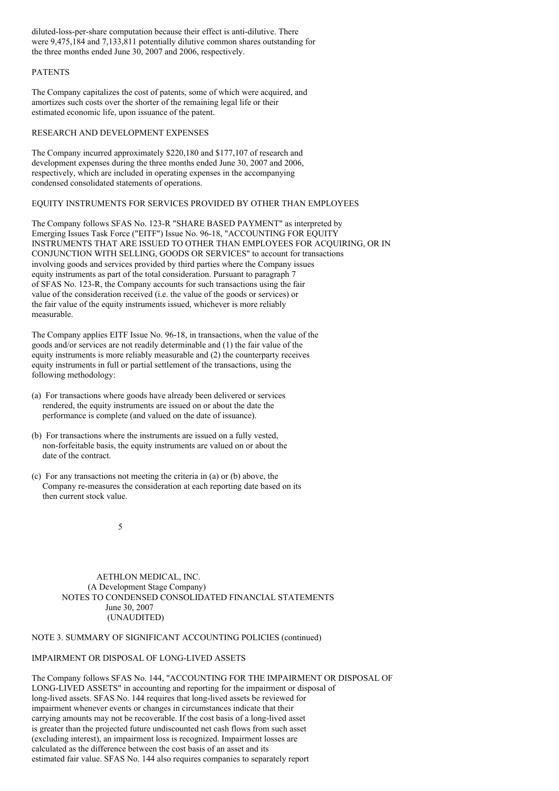diluted-loss-per-share computation because their effect is anti-dilutive. There were 9,475,184 and 7,133,811 potentially dilutive common shares outstanding for the three months ended June 30, 2007 and 2006, respectively.

#### PATENTS

The Company capitalizes the cost of patents, some of which were acquired, and amortizes such costs over the shorter of the remaining legal life or their estimated economic life, upon issuance of the patent.

#### RESEARCH AND DEVELOPMENT EXPENSES

The Company incurred approximately \$220,180 and \$177,107 of research and development expenses during the three months ended June 30, 2007 and 2006, respectively, which are included in operating expenses in the accompanying condensed consolidated statements of operations.

## EQUITY INSTRUMENTS FOR SERVICES PROVIDED BY OTHER THAN EMPLOYEES

The Company follows SFAS No. 123-R "SHARE BASED PAYMENT" as interpreted by Emerging Issues Task Force ("EITF") Issue No. 96-18, "ACCOUNTING FOR EQUITY INSTRUMENTS THAT ARE ISSUED TO OTHER THAN EMPLOYEES FOR ACQUIRING, OR IN CONJUNCTION WITH SELLING, GOODS OR SERVICES" to account for transactions involving goods and services provided by third parties where the Company issues equity instruments as part of the total consideration. Pursuant to paragraph 7 of SFAS No. 123-R, the Company accounts for such transactions using the fair value of the consideration received (i.e. the value of the goods or services) or the fair value of the equity instruments issued, whichever is more reliably measurable.

The Company applies EITF Issue No. 96-18, in transactions, when the value of the goods and/or services are not readily determinable and (1) the fair value of the equity instruments is more reliably measurable and (2) the counterparty receives equity instruments in full or partial settlement of the transactions, using the following methodology:

- (a) For transactions where goods have already been delivered or services rendered, the equity instruments are issued on or about the date the performance is complete (and valued on the date of issuance).
- (b) For transactions where the instruments are issued on a fully vested, non-forfeitable basis, the equity instruments are valued on or about the date of the contract.
- (c) For any transactions not meeting the criteria in (a) or (b) above, the Company re-measures the consideration at each reporting date based on its then current stock value.

5

AETHLON MEDICAL, INC. (A Development Stage Company) NOTES TO CONDENSED CONSOLIDATED FINANCIAL STATEMENTS June 30, 2007 (UNAUDITED)

## NOTE 3. SUMMARY OF SIGNIFICANT ACCOUNTING POLICIES (continued)

## IMPAIRMENT OR DISPOSAL OF LONG-LIVED ASSETS

The Company follows SFAS No. 144, "ACCOUNTING FOR THE IMPAIRMENT OR DISPOSAL OF LONG-LIVED ASSETS" in accounting and reporting for the impairment or disposal of long-lived assets. SFAS No. 144 requires that long-lived assets be reviewed for impairment whenever events or changes in circumstances indicate that their carrying amounts may not be recoverable. If the cost basis of a long-lived asset is greater than the projected future undiscounted net cash flows from such asset (excluding interest), an impairment loss is recognized. Impairment losses are calculated as the difference between the cost basis of an asset and its estimated fair value. SFAS No. 144 also requires companies to separately report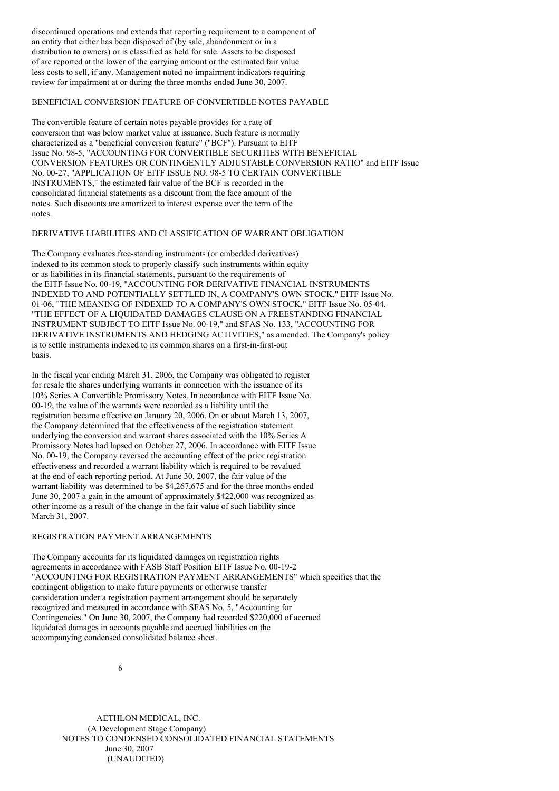discontinued operations and extends that reporting requirement to a component of an entity that either has been disposed of (by sale, abandonment or in a distribution to owners) or is classified as held for sale. Assets to be disposed of are reported at the lower of the carrying amount or the estimated fair value less costs to sell, if any. Management noted no impairment indicators requiring review for impairment at or during the three months ended June 30, 2007.

## BENEFICIAL CONVERSION FEATURE OF CONVERTIBLE NOTES PAYABLE

The convertible feature of certain notes payable provides for a rate of conversion that was below market value at issuance. Such feature is normally characterized as a "beneficial conversion feature" ("BCF"). Pursuant to EITF Issue No. 98-5, "ACCOUNTING FOR CONVERTIBLE SECURITIES WITH BENEFICIAL CONVERSION FEATURES OR CONTINGENTLY ADJUSTABLE CONVERSION RATIO" and EITF Issue No. 00-27, "APPLICATION OF EITF ISSUE NO. 98-5 TO CERTAIN CONVERTIBLE INSTRUMENTS," the estimated fair value of the BCF is recorded in the consolidated financial statements as a discount from the face amount of the notes. Such discounts are amortized to interest expense over the term of the notes.

#### DERIVATIVE LIABILITIES AND CLASSIFICATION OF WARRANT OBLIGATION

The Company evaluates free-standing instruments (or embedded derivatives) indexed to its common stock to properly classify such instruments within equity or as liabilities in its financial statements, pursuant to the requirements of the EITF Issue No. 00-19, "ACCOUNTING FOR DERIVATIVE FINANCIAL INSTRUMENTS INDEXED TO AND POTENTIALLY SETTLED IN, A COMPANY'S OWN STOCK," EITF Issue No. 01-06, "THE MEANING OF INDEXED TO A COMPANY'S OWN STOCK," EITF Issue No. 05-04, "THE EFFECT OF A LIQUIDATED DAMAGES CLAUSE ON A FREESTANDING FINANCIAL INSTRUMENT SUBJECT TO EITF Issue No. 00-19," and SFAS No. 133, "ACCOUNTING FOR DERIVATIVE INSTRUMENTS AND HEDGING ACTIVITIES," as amended. The Company's policy is to settle instruments indexed to its common shares on a first-in-first-out basis.

In the fiscal year ending March 31, 2006, the Company was obligated to register for resale the shares underlying warrants in connection with the issuance of its 10% Series A Convertible Promissory Notes. In accordance with EITF Issue No. 00-19, the value of the warrants were recorded as a liability until the registration became effective on January 20, 2006. On or about March 13, 2007, the Company determined that the effectiveness of the registration statement underlying the conversion and warrant shares associated with the 10% Series A Promissory Notes had lapsed on October 27, 2006. In accordance with EITF Issue No. 00-19, the Company reversed the accounting effect of the prior registration effectiveness and recorded a warrant liability which is required to be revalued at the end of each reporting period. At June 30, 2007, the fair value of the warrant liability was determined to be \$4,267,675 and for the three months ended June 30, 2007 a gain in the amount of approximately \$422,000 was recognized as other income as a result of the change in the fair value of such liability since March 31, 2007.

#### REGISTRATION PAYMENT ARRANGEMENTS

The Company accounts for its liquidated damages on registration rights agreements in accordance with FASB Staff Position EITF Issue No. 00-19-2 "ACCOUNTING FOR REGISTRATION PAYMENT ARRANGEMENTS" which specifies that the contingent obligation to make future payments or otherwise transfer consideration under a registration payment arrangement should be separately recognized and measured in accordance with SFAS No. 5, "Accounting for Contingencies." On June 30, 2007, the Company had recorded \$220,000 of accrued liquidated damages in accounts payable and accrued liabilities on the accompanying condensed consolidated balance sheet.

6

AETHLON MEDICAL, INC. (A Development Stage Company) NOTES TO CONDENSED CONSOLIDATED FINANCIAL STATEMENTS June 30, 2007 (UNAUDITED)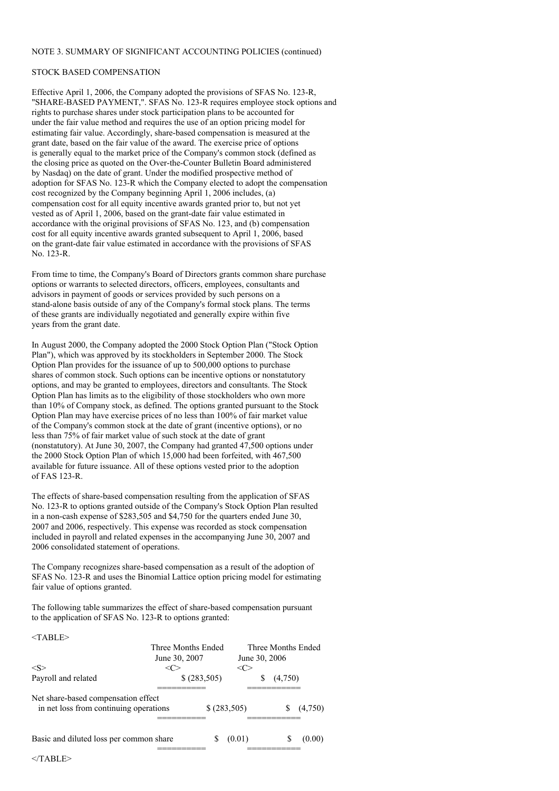#### NOTE 3. SUMMARY OF SIGNIFICANT ACCOUNTING POLICIES (continued)

## STOCK BASED COMPENSATION

Effective April 1, 2006, the Company adopted the provisions of SFAS No. 123-R, "SHARE-BASED PAYMENT,". SFAS No. 123-R requires employee stock options and rights to purchase shares under stock participation plans to be accounted for under the fair value method and requires the use of an option pricing model for estimating fair value. Accordingly, share-based compensation is measured at the grant date, based on the fair value of the award. The exercise price of options is generally equal to the market price of the Company's common stock (defined as the closing price as quoted on the Over-the-Counter Bulletin Board administered by Nasdaq) on the date of grant. Under the modified prospective method of adoption for SFAS No. 123-R which the Company elected to adopt the compensation cost recognized by the Company beginning April 1, 2006 includes, (a) compensation cost for all equity incentive awards granted prior to, but not yet vested as of April 1, 2006, based on the grant-date fair value estimated in accordance with the original provisions of SFAS No. 123, and (b) compensation cost for all equity incentive awards granted subsequent to April 1, 2006, based on the grant-date fair value estimated in accordance with the provisions of SFAS No. 123-R.

From time to time, the Company's Board of Directors grants common share purchase options or warrants to selected directors, officers, employees, consultants and advisors in payment of goods or services provided by such persons on a stand-alone basis outside of any of the Company's formal stock plans. The terms of these grants are individually negotiated and generally expire within five years from the grant date.

In August 2000, the Company adopted the 2000 Stock Option Plan ("Stock Option Plan"), which was approved by its stockholders in September 2000. The Stock Option Plan provides for the issuance of up to 500,000 options to purchase shares of common stock. Such options can be incentive options or nonstatutory options, and may be granted to employees, directors and consultants. The Stock Option Plan has limits as to the eligibility of those stockholders who own more than 10% of Company stock, as defined. The options granted pursuant to the Stock Option Plan may have exercise prices of no less than 100% of fair market value of the Company's common stock at the date of grant (incentive options), or no less than 75% of fair market value of such stock at the date of grant (nonstatutory). At June 30, 2007, the Company had granted 47,500 options under the 2000 Stock Option Plan of which 15,000 had been forfeited, with 467,500 available for future issuance. All of these options vested prior to the adoption of FAS 123-R.

The effects of share-based compensation resulting from the application of SFAS No. 123-R to options granted outside of the Company's Stock Option Plan resulted in a non-cash expense of \$283,505 and \$4,750 for the quarters ended June 30, 2007 and 2006, respectively. This expense was recorded as stock compensation included in payroll and related expenses in the accompanying June 30, 2007 and 2006 consolidated statement of operations.

The Company recognizes share-based compensation as a result of the adoption of SFAS No. 123-R and uses the Binomial Lattice option pricing model for estimating fair value of options granted.

The following table summarizes the effect of share-based compensation pursuant to the application of SFAS No. 123-R to options granted:

#### $<$ TABLE>

|                                                                               | Three Months Ended<br>June 30, 2007 |               | Three Months Ended<br>June 30, 2006 |         |
|-------------------------------------------------------------------------------|-------------------------------------|---------------|-------------------------------------|---------|
| $<\!\!S\!\!>$                                                                 |                                     |               |                                     |         |
| Payroll and related                                                           | \$ (283,505)                        |               | (4,750)                             |         |
| Net share-based compensation effect<br>in net loss from continuing operations |                                     | \$ (283, 505) |                                     | (4,750) |
| Basic and diluted loss per common share                                       |                                     | (0.01)        | S                                   | (0.00)  |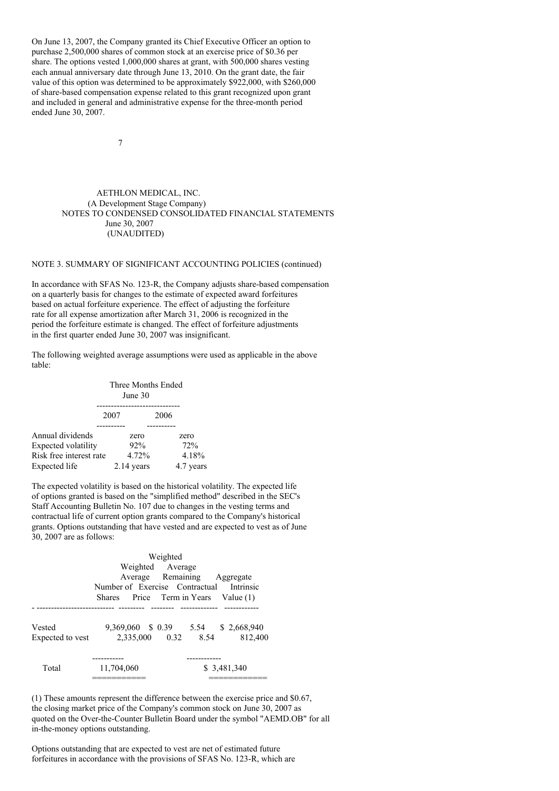On June 13, 2007, the Company granted its Chief Executive Officer an option to purchase 2,500,000 shares of common stock at an exercise price of \$0.36 per share. The options vested 1,000,000 shares at grant, with 500,000 shares vesting each annual anniversary date through June 13, 2010. On the grant date, the fair value of this option was determined to be approximately \$922,000, with \$260,000 of share-based compensation expense related to this grant recognized upon grant and included in general and administrative expense for the three-month period ended June 30, 2007.

7

## AETHLON MEDICAL, INC. (A Development Stage Company) NOTES TO CONDENSED CONSOLIDATED FINANCIAL STATEMENTS June 30, 2007 (UNAUDITED)

## NOTE 3. SUMMARY OF SIGNIFICANT ACCOUNTING POLICIES (continued)

In accordance with SFAS No. 123-R, the Company adjusts share-based compensation on a quarterly basis for changes to the estimate of expected award forfeitures based on actual forfeiture experience. The effect of adjusting the forfeiture rate for all expense amortization after March 31, 2006 is recognized in the period the forfeiture estimate is changed. The effect of forfeiture adjustments in the first quarter ended June 30, 2007 was insignificant.

The following weighted average assumptions were used as applicable in the above table:

|                         | Three Months Ended<br>June 30 |      |           |
|-------------------------|-------------------------------|------|-----------|
|                         | 2007                          | 2006 |           |
| Annual dividends        | zero                          |      | zero      |
| Expected volatility     | 92%                           |      | 72%       |
| Risk free interest rate | 4.72%                         |      | 4.18%     |
| Expected life           | $2.14$ years                  |      | 4.7 years |

The expected volatility is based on the historical volatility. The expected life of options granted is based on the "simplified method" described in the SEC's Staff Accounting Bulletin No. 107 due to changes in the vesting terms and contractual life of current option grants compared to the Company's historical grants. Options outstanding that have vested and are expected to vest as of June 30, 2007 are as follows:

|                  | Weighted                       |                                      |                  |
|------------------|--------------------------------|--------------------------------------|------------------|
|                  |                                | Weighted Average                     |                  |
|                  |                                | Average Remaining Aggregate          |                  |
|                  | Number of Exercise Contractual |                                      | <b>Intrinsic</b> |
|                  |                                | Shares Price Term in Years Value (1) |                  |
|                  |                                |                                      |                  |
| Vested           |                                | 9,369,060 \$ 0.39 5.54               | \$2,668,940      |
| Expected to vest |                                | 2.335.000 0.32 8.54                  | 812,400          |
|                  |                                |                                      |                  |
| Total            |                                |                                      |                  |
|                  | 11,704,060                     |                                      | \$ 3,481,340     |
|                  |                                |                                      |                  |

(1) These amounts represent the difference between the exercise price and \$0.67, the closing market price of the Company's common stock on June 30, 2007 as quoted on the Over-the-Counter Bulletin Board under the symbol "AEMD.OB" for all in-the-money options outstanding.

Options outstanding that are expected to vest are net of estimated future forfeitures in accordance with the provisions of SFAS No. 123-R, which are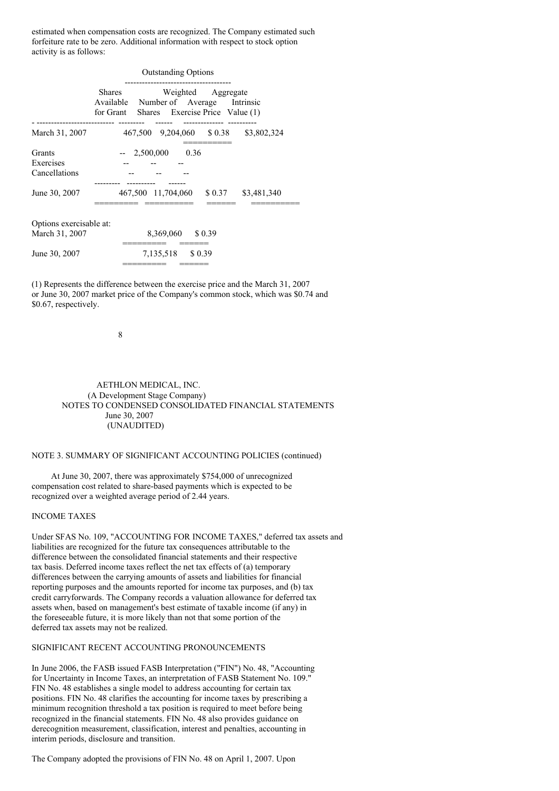estimated when compensation costs are recognized. The Company estimated such forfeiture rate to be zero. Additional information with respect to stock option activity is as follows:

|                                           | <b>Outstanding Options</b>                                                                                         |
|-------------------------------------------|--------------------------------------------------------------------------------------------------------------------|
|                                           | Shares<br>Weighted Aggregate<br>Available Number of Average Intrinsic<br>for Grant Shares Exercise Price Value (1) |
| March 31, 2007                            | 467,500 9,204,060 \$ 0.38 \$3,802,324                                                                              |
| Grants<br>Exercises<br>Cancellations      | $-2,500,000$<br>0.36                                                                                               |
| June 30, 2007                             | 467,500 11,704,060 \$ 0.37<br>\$3,481,340                                                                          |
| Options exercisable at:<br>March 31, 2007 | 8,369,060 \$ 0.39                                                                                                  |
| $\mathbf{r}$ $\mathbf{a}$ $\mathbf{a}$    | $7125510$ $0.20$                                                                                                   |

June 30, 2007 7, 135, 518 \$ 0.39 ========= ======

(1) Represents the difference between the exercise price and the March 31, 2007 or June 30, 2007 market price of the Company's common stock, which was \$0.74 and \$0.67, respectively.

8

## AETHLON MEDICAL, INC. (A Development Stage Company) NOTES TO CONDENSED CONSOLIDATED FINANCIAL STATEMENTS June 30, 2007 (UNAUDITED)

#### NOTE 3. SUMMARY OF SIGNIFICANT ACCOUNTING POLICIES (continued)

At June 30, 2007, there was approximately \$754,000 of unrecognized compensation cost related to share-based payments which is expected to be recognized over a weighted average period of 2.44 years.

#### INCOME TAXES

Under SFAS No. 109, "ACCOUNTING FOR INCOME TAXES," deferred tax assets and liabilities are recognized for the future tax consequences attributable to the difference between the consolidated financial statements and their respective tax basis. Deferred income taxes reflect the net tax effects of (a) temporary differences between the carrying amounts of assets and liabilities for financial reporting purposes and the amounts reported for income tax purposes, and (b) tax credit carryforwards. The Company records a valuation allowance for deferred tax assets when, based on management's best estimate of taxable income (if any) in the foreseeable future, it is more likely than not that some portion of the deferred tax assets may not be realized.

### SIGNIFICANT RECENT ACCOUNTING PRONOUNCEMENTS

In June 2006, the FASB issued FASB Interpretation ("FIN") No. 48, "Accounting for Uncertainty in Income Taxes, an interpretation of FASB Statement No. 109." FIN No. 48 establishes a single model to address accounting for certain tax positions. FIN No. 48 clarifies the accounting for income taxes by prescribing a minimum recognition threshold a tax position is required to meet before being recognized in the financial statements. FIN No. 48 also provides guidance on derecognition measurement, classification, interest and penalties, accounting in interim periods, disclosure and transition.

The Company adopted the provisions of FIN No. 48 on April 1, 2007. Upon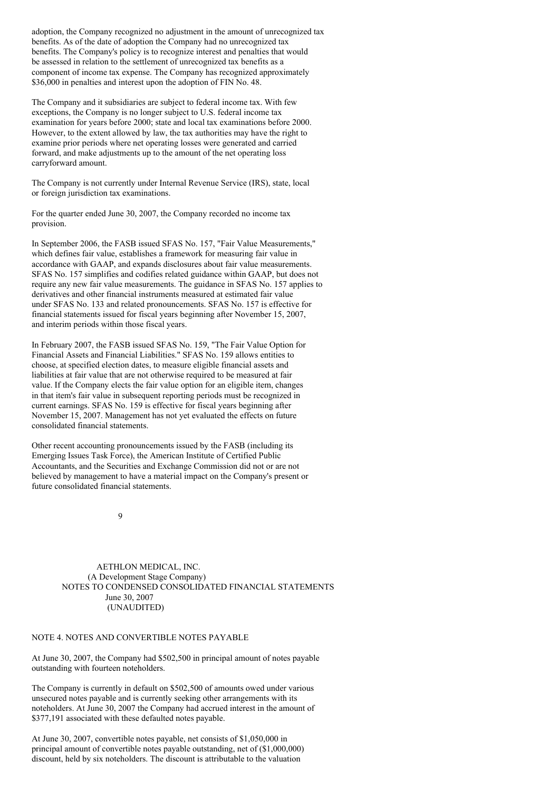adoption, the Company recognized no adjustment in the amount of unrecognized tax benefits. As of the date of adoption the Company had no unrecognized tax benefits. The Company's policy is to recognize interest and penalties that would be assessed in relation to the settlement of unrecognized tax benefits as a component of income tax expense. The Company has recognized approximately \$36,000 in penalties and interest upon the adoption of FIN No. 48.

The Company and it subsidiaries are subject to federal income tax. With few exceptions, the Company is no longer subject to U.S. federal income tax examination for years before 2000; state and local tax examinations before 2000. However, to the extent allowed by law, the tax authorities may have the right to examine prior periods where net operating losses were generated and carried forward, and make adjustments up to the amount of the net operating loss carryforward amount.

The Company is not currently under Internal Revenue Service (IRS), state, local or foreign jurisdiction tax examinations.

For the quarter ended June 30, 2007, the Company recorded no income tax provision.

In September 2006, the FASB issued SFAS No. 157, "Fair Value Measurements," which defines fair value, establishes a framework for measuring fair value in accordance with GAAP, and expands disclosures about fair value measurements. SFAS No. 157 simplifies and codifies related guidance within GAAP, but does not require any new fair value measurements. The guidance in SFAS No. 157 applies to derivatives and other financial instruments measured at estimated fair value under SFAS No. 133 and related pronouncements. SFAS No. 157 is effective for financial statements issued for fiscal years beginning after November 15, 2007, and interim periods within those fiscal years.

In February 2007, the FASB issued SFAS No. 159, "The Fair Value Option for Financial Assets and Financial Liabilities." SFAS No. 159 allows entities to choose, at specified election dates, to measure eligible financial assets and liabilities at fair value that are not otherwise required to be measured at fair value. If the Company elects the fair value option for an eligible item, changes in that item's fair value in subsequent reporting periods must be recognized in current earnings. SFAS No. 159 is effective for fiscal years beginning after November 15, 2007. Management has not yet evaluated the effects on future consolidated financial statements.

Other recent accounting pronouncements issued by the FASB (including its Emerging Issues Task Force), the American Institute of Certified Public Accountants, and the Securities and Exchange Commission did not or are not believed by management to have a material impact on the Company's present or future consolidated financial statements.

 $\alpha$ 

AETHLON MEDICAL, INC. (A Development Stage Company) NOTES TO CONDENSED CONSOLIDATED FINANCIAL STATEMENTS June 30, 2007 (UNAUDITED)

## NOTE 4. NOTES AND CONVERTIBLE NOTES PAYABLE

At June 30, 2007, the Company had \$502,500 in principal amount of notes payable outstanding with fourteen noteholders.

The Company is currently in default on \$502,500 of amounts owed under various unsecured notes payable and is currently seeking other arrangements with its noteholders. At June 30, 2007 the Company had accrued interest in the amount of \$377,191 associated with these defaulted notes payable.

At June 30, 2007, convertible notes payable, net consists of \$1,050,000 in principal amount of convertible notes payable outstanding, net of (\$1,000,000) discount, held by six noteholders. The discount is attributable to the valuation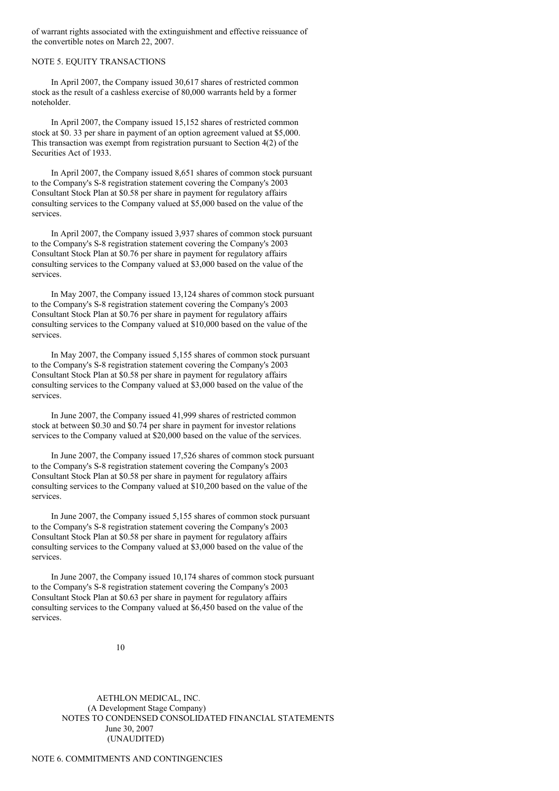of warrant rights associated with the extinguishment and effective reissuance of the convertible notes on March 22, 2007.

### NOTE 5. EQUITY TRANSACTIONS

In April 2007, the Company issued 30,617 shares of restricted common stock as the result of a cashless exercise of 80,000 warrants held by a former noteholder.

In April 2007, the Company issued 15,152 shares of restricted common stock at \$0. 33 per share in payment of an option agreement valued at \$5,000. This transaction was exempt from registration pursuant to Section 4(2) of the Securities Act of 1933.

In April 2007, the Company issued 8,651 shares of common stock pursuant to the Company's S-8 registration statement covering the Company's 2003 Consultant Stock Plan at \$0.58 per share in payment for regulatory affairs consulting services to the Company valued at \$5,000 based on the value of the services.

In April 2007, the Company issued 3,937 shares of common stock pursuant to the Company's S-8 registration statement covering the Company's 2003 Consultant Stock Plan at \$0.76 per share in payment for regulatory affairs consulting services to the Company valued at \$3,000 based on the value of the services.

In May 2007, the Company issued 13,124 shares of common stock pursuant to the Company's S-8 registration statement covering the Company's 2003 Consultant Stock Plan at \$0.76 per share in payment for regulatory affairs consulting services to the Company valued at \$10,000 based on the value of the services.

In May 2007, the Company issued 5,155 shares of common stock pursuant to the Company's S-8 registration statement covering the Company's 2003 Consultant Stock Plan at \$0.58 per share in payment for regulatory affairs consulting services to the Company valued at \$3,000 based on the value of the services.

In June 2007, the Company issued 41,999 shares of restricted common stock at between \$0.30 and \$0.74 per share in payment for investor relations services to the Company valued at \$20,000 based on the value of the services.

In June 2007, the Company issued 17,526 shares of common stock pursuant to the Company's S-8 registration statement covering the Company's 2003 Consultant Stock Plan at \$0.58 per share in payment for regulatory affairs consulting services to the Company valued at \$10,200 based on the value of the services.

In June 2007, the Company issued 5,155 shares of common stock pursuant to the Company's S-8 registration statement covering the Company's 2003 Consultant Stock Plan at \$0.58 per share in payment for regulatory affairs consulting services to the Company valued at \$3,000 based on the value of the services.

In June 2007, the Company issued 10,174 shares of common stock pursuant to the Company's S-8 registration statement covering the Company's 2003 Consultant Stock Plan at \$0.63 per share in payment for regulatory affairs consulting services to the Company valued at \$6,450 based on the value of the services.

10

AETHLON MEDICAL, INC. (A Development Stage Company) NOTES TO CONDENSED CONSOLIDATED FINANCIAL STATEMENTS June 30, 2007 (UNAUDITED)

NOTE 6. COMMITMENTS AND CONTINGENCIES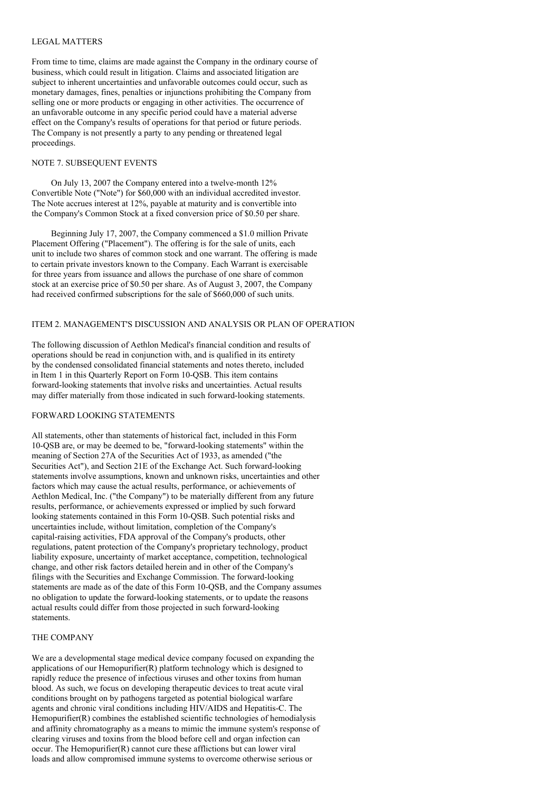#### LEGAL MATTERS

From time to time, claims are made against the Company in the ordinary course of business, which could result in litigation. Claims and associated litigation are subject to inherent uncertainties and unfavorable outcomes could occur, such as monetary damages, fines, penalties or injunctions prohibiting the Company from selling one or more products or engaging in other activities. The occurrence of an unfavorable outcome in any specific period could have a material adverse effect on the Company's results of operations for that period or future periods. The Company is not presently a party to any pending or threatened legal proceedings.

## NOTE 7. SUBSEQUENT EVENTS

On July 13, 2007 the Company entered into a twelve-month 12% Convertible Note ("Note") for \$60,000 with an individual accredited investor. The Note accrues interest at 12%, payable at maturity and is convertible into the Company's Common Stock at a fixed conversion price of \$0.50 per share.

Beginning July 17, 2007, the Company commenced a \$1.0 million Private Placement Offering ("Placement"). The offering is for the sale of units, each unit to include two shares of common stock and one warrant. The offering is made to certain private investors known to the Company. Each Warrant is exercisable for three years from issuance and allows the purchase of one share of common stock at an exercise price of \$0.50 per share. As of August 3, 2007, the Company had received confirmed subscriptions for the sale of \$660,000 of such units.

## ITEM 2. MANAGEMENT'S DISCUSSION AND ANALYSIS OR PLAN OF OPERATION

The following discussion of Aethlon Medical's financial condition and results of operations should be read in conjunction with, and is qualified in its entirety by the condensed consolidated financial statements and notes thereto, included in Item 1 in this Quarterly Report on Form 10-QSB. This item contains forward-looking statements that involve risks and uncertainties. Actual results may differ materially from those indicated in such forward-looking statements.

## FORWARD LOOKING STATEMENTS

All statements, other than statements of historical fact, included in this Form 10-QSB are, or may be deemed to be, "forward-looking statements" within the meaning of Section 27A of the Securities Act of 1933, as amended ("the Securities Act"), and Section 21E of the Exchange Act. Such forward-looking statements involve assumptions, known and unknown risks, uncertainties and other factors which may cause the actual results, performance, or achievements of Aethlon Medical, Inc. ("the Company") to be materially different from any future results, performance, or achievements expressed or implied by such forward looking statements contained in this Form 10-QSB. Such potential risks and uncertainties include, without limitation, completion of the Company's capital-raising activities, FDA approval of the Company's products, other regulations, patent protection of the Company's proprietary technology, product liability exposure, uncertainty of market acceptance, competition, technological change, and other risk factors detailed herein and in other of the Company's filings with the Securities and Exchange Commission. The forward-looking statements are made as of the date of this Form 10-QSB, and the Company assumes no obligation to update the forward-looking statements, or to update the reasons actual results could differ from those projected in such forward-looking statements.

#### THE COMPANY

We are a developmental stage medical device company focused on expanding the applications of our Hemopurifier(R) platform technology which is designed to rapidly reduce the presence of infectious viruses and other toxins from human blood. As such, we focus on developing therapeutic devices to treat acute viral conditions brought on by pathogens targeted as potential biological warfare agents and chronic viral conditions including HIV/AIDS and Hepatitis-C. The Hemopurifier(R) combines the established scientific technologies of hemodialysis and affinity chromatography as a means to mimic the immune system's response of clearing viruses and toxins from the blood before cell and organ infection can occur. The Hemopurifier(R) cannot cure these afflictions but can lower viral loads and allow compromised immune systems to overcome otherwise serious or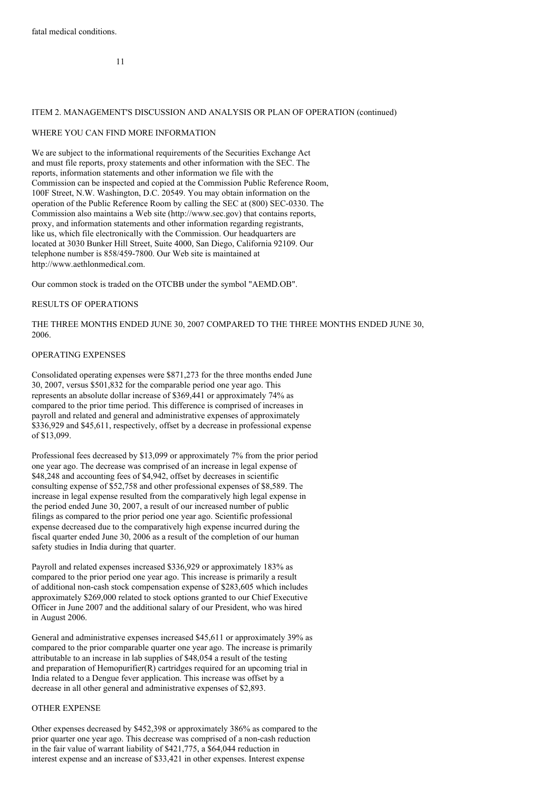11

## ITEM 2. MANAGEMENT'S DISCUSSION AND ANALYSIS OR PLAN OF OPERATION (continued)

#### WHERE YOU CAN FIND MORE INFORMATION

We are subject to the informational requirements of the Securities Exchange Act and must file reports, proxy statements and other information with the SEC. The reports, information statements and other information we file with the Commission can be inspected and copied at the Commission Public Reference Room, 100F Street, N.W. Washington, D.C. 20549. You may obtain information on the operation of the Public Reference Room by calling the SEC at (800) SEC-0330. The Commission also maintains a Web site (http://www.sec.gov) that contains reports, proxy, and information statements and other information regarding registrants, like us, which file electronically with the Commission. Our headquarters are located at 3030 Bunker Hill Street, Suite 4000, San Diego, California 92109. Our telephone number is 858/459-7800. Our Web site is maintained at http://www.aethlonmedical.com.

Our common stock is traded on the OTCBB under the symbol "AEMD.OB".

RESULTS OF OPERATIONS

THE THREE MONTHS ENDED JUNE 30, 2007 COMPARED TO THE THREE MONTHS ENDED JUNE 30, 2006.

## OPERATING EXPENSES

Consolidated operating expenses were \$871,273 for the three months ended June 30, 2007, versus \$501,832 for the comparable period one year ago. This represents an absolute dollar increase of \$369,441 or approximately 74% as compared to the prior time period. This difference is comprised of increases in payroll and related and general and administrative expenses of approximately \$336,929 and \$45,611, respectively, offset by a decrease in professional expense of \$13,099.

Professional fees decreased by \$13,099 or approximately 7% from the prior period one year ago. The decrease was comprised of an increase in legal expense of \$48,248 and accounting fees of \$4,942, offset by decreases in scientific consulting expense of \$52,758 and other professional expenses of \$8,589. The increase in legal expense resulted from the comparatively high legal expense in the period ended June 30, 2007, a result of our increased number of public filings as compared to the prior period one year ago. Scientific professional expense decreased due to the comparatively high expense incurred during the fiscal quarter ended June 30, 2006 as a result of the completion of our human safety studies in India during that quarter.

Payroll and related expenses increased \$336,929 or approximately 183% as compared to the prior period one year ago. This increase is primarily a result of additional non-cash stock compensation expense of \$283,605 which includes approximately \$269,000 related to stock options granted to our Chief Executive Officer in June 2007 and the additional salary of our President, who was hired in August 2006.

General and administrative expenses increased \$45,611 or approximately 39% as compared to the prior comparable quarter one year ago. The increase is primarily attributable to an increase in lab supplies of \$48,054 a result of the testing and preparation of Hemopurifier(R) cartridges required for an upcoming trial in India related to a Dengue fever application. This increase was offset by a decrease in all other general and administrative expenses of \$2,893.

#### OTHER EXPENSE

Other expenses decreased by \$452,398 or approximately 386% as compared to the prior quarter one year ago. This decrease was comprised of a non-cash reduction in the fair value of warrant liability of \$421,775, a \$64,044 reduction in interest expense and an increase of \$33,421 in other expenses. Interest expense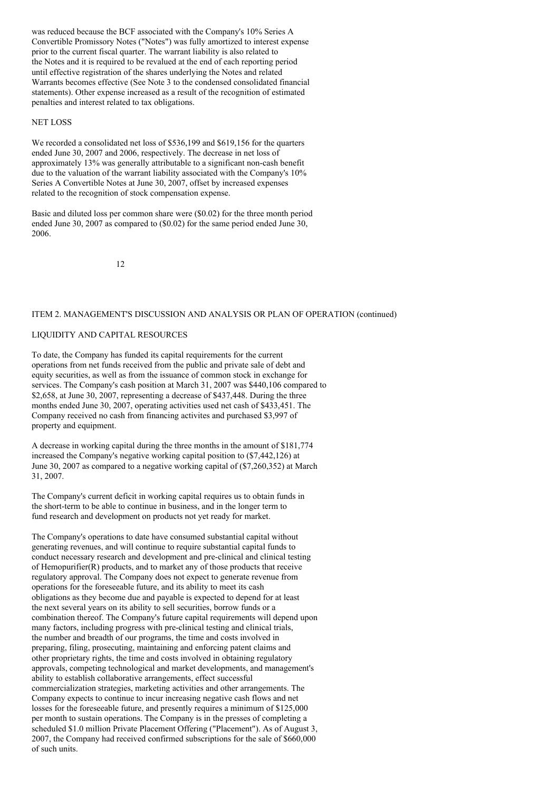was reduced because the BCF associated with the Company's 10% Series A Convertible Promissory Notes ("Notes") was fully amortized to interest expense prior to the current fiscal quarter. The warrant liability is also related to the Notes and it is required to be revalued at the end of each reporting period until effective registration of the shares underlying the Notes and related Warrants becomes effective (See Note 3 to the condensed consolidated financial statements). Other expense increased as a result of the recognition of estimated penalties and interest related to tax obligations.

## NET LOSS

We recorded a consolidated net loss of \$536,199 and \$619,156 for the quarters ended June 30, 2007 and 2006, respectively. The decrease in net loss of approximately 13% was generally attributable to a significant non-cash benefit due to the valuation of the warrant liability associated with the Company's 10% Series A Convertible Notes at June 30, 2007, offset by increased expenses related to the recognition of stock compensation expense.

Basic and diluted loss per common share were (\$0.02) for the three month period ended June 30, 2007 as compared to (\$0.02) for the same period ended June 30, 2006.

12

## ITEM 2. MANAGEMENT'S DISCUSSION AND ANALYSIS OR PLAN OF OPERATION (continued)

#### LIQUIDITY AND CAPITAL RESOURCES

To date, the Company has funded its capital requirements for the current operations from net funds received from the public and private sale of debt and equity securities, as well as from the issuance of common stock in exchange for services. The Company's cash position at March 31, 2007 was \$440,106 compared to \$2,658, at June 30, 2007, representing a decrease of \$437,448. During the three months ended June 30, 2007, operating activities used net cash of \$433,451. The Company received no cash from financing activites and purchased \$3,997 of property and equipment.

A decrease in working capital during the three months in the amount of \$181,774 increased the Company's negative working capital position to (\$7,442,126) at June 30, 2007 as compared to a negative working capital of (\$7,260,352) at March 31, 2007.

The Company's current deficit in working capital requires us to obtain funds in the short-term to be able to continue in business, and in the longer term to fund research and development on products not yet ready for market.

The Company's operations to date have consumed substantial capital without generating revenues, and will continue to require substantial capital funds to conduct necessary research and development and pre-clinical and clinical testing of Hemopurifier(R) products, and to market any of those products that receive regulatory approval. The Company does not expect to generate revenue from operations for the foreseeable future, and its ability to meet its cash obligations as they become due and payable is expected to depend for at least the next several years on its ability to sell securities, borrow funds or a combination thereof. The Company's future capital requirements will depend upon many factors, including progress with pre-clinical testing and clinical trials, the number and breadth of our programs, the time and costs involved in preparing, filing, prosecuting, maintaining and enforcing patent claims and other proprietary rights, the time and costs involved in obtaining regulatory approvals, competing technological and market developments, and management's ability to establish collaborative arrangements, effect successful commercialization strategies, marketing activities and other arrangements. The Company expects to continue to incur increasing negative cash flows and net losses for the foreseeable future, and presently requires a minimum of \$125,000 per month to sustain operations. The Company is in the presses of completing a scheduled \$1.0 million Private Placement Offering ("Placement"). As of August 3, 2007, the Company had received confirmed subscriptions for the sale of \$660,000 of such units.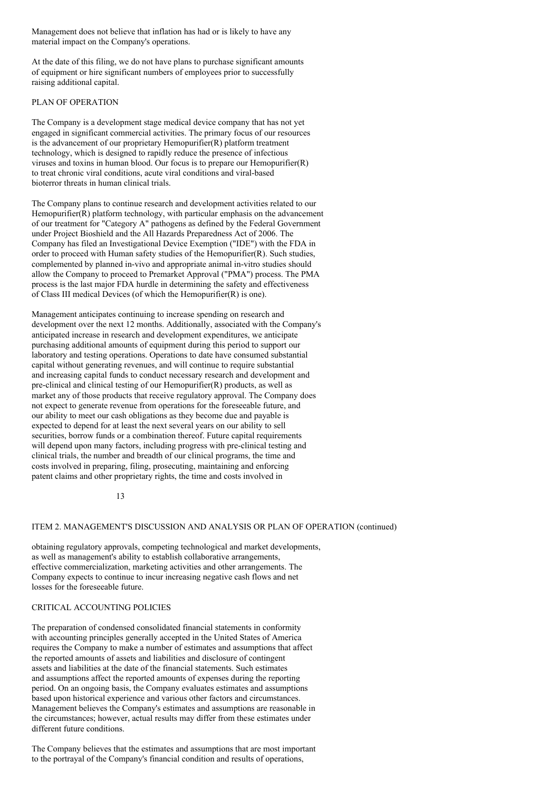Management does not believe that inflation has had or is likely to have any material impact on the Company's operations.

At the date of this filing, we do not have plans to purchase significant amounts of equipment or hire significant numbers of employees prior to successfully raising additional capital.

## PLAN OF OPERATION

The Company is a development stage medical device company that has not yet engaged in significant commercial activities. The primary focus of our resources is the advancement of our proprietary Hemopurifier(R) platform treatment technology, which is designed to rapidly reduce the presence of infectious viruses and toxins in human blood. Our focus is to prepare our Hemopurifier(R) to treat chronic viral conditions, acute viral conditions and viral-based bioterror threats in human clinical trials.

The Company plans to continue research and development activities related to our Hemopurifier(R) platform technology, with particular emphasis on the advancement of our treatment for "Category A" pathogens as defined by the Federal Government under Project Bioshield and the All Hazards Preparedness Act of 2006. The Company has filed an Investigational Device Exemption ("IDE") with the FDA in order to proceed with Human safety studies of the Hemopurifier(R). Such studies, complemented by planned in-vivo and appropriate animal in-vitro studies should allow the Company to proceed to Premarket Approval ("PMA") process. The PMA process is the last major FDA hurdle in determining the safety and effectiveness of Class III medical Devices (of which the Hemopurifier(R) is one).

Management anticipates continuing to increase spending on research and development over the next 12 months. Additionally, associated with the Company's anticipated increase in research and development expenditures, we anticipate purchasing additional amounts of equipment during this period to support our laboratory and testing operations. Operations to date have consumed substantial capital without generating revenues, and will continue to require substantial and increasing capital funds to conduct necessary research and development and pre-clinical and clinical testing of our Hemopurifier(R) products, as well as market any of those products that receive regulatory approval. The Company does not expect to generate revenue from operations for the foreseeable future, and our ability to meet our cash obligations as they become due and payable is expected to depend for at least the next several years on our ability to sell securities, borrow funds or a combination thereof. Future capital requirements will depend upon many factors, including progress with pre-clinical testing and clinical trials, the number and breadth of our clinical programs, the time and costs involved in preparing, filing, prosecuting, maintaining and enforcing patent claims and other proprietary rights, the time and costs involved in

13

## ITEM 2. MANAGEMENT'S DISCUSSION AND ANALYSIS OR PLAN OF OPERATION (continued)

obtaining regulatory approvals, competing technological and market developments, as well as management's ability to establish collaborative arrangements, effective commercialization, marketing activities and other arrangements. The Company expects to continue to incur increasing negative cash flows and net losses for the foreseeable future.

## CRITICAL ACCOUNTING POLICIES

The preparation of condensed consolidated financial statements in conformity with accounting principles generally accepted in the United States of America requires the Company to make a number of estimates and assumptions that affect the reported amounts of assets and liabilities and disclosure of contingent assets and liabilities at the date of the financial statements. Such estimates and assumptions affect the reported amounts of expenses during the reporting period. On an ongoing basis, the Company evaluates estimates and assumptions based upon historical experience and various other factors and circumstances. Management believes the Company's estimates and assumptions are reasonable in the circumstances; however, actual results may differ from these estimates under different future conditions.

The Company believes that the estimates and assumptions that are most important to the portrayal of the Company's financial condition and results of operations,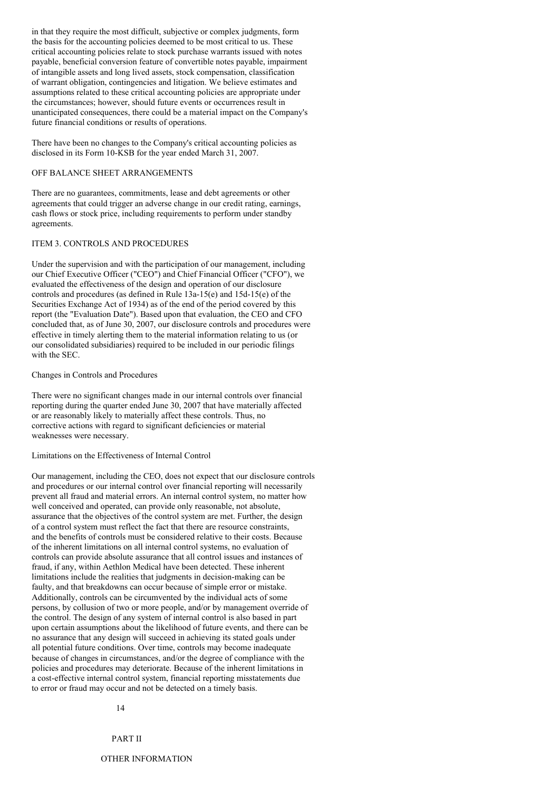in that they require the most difficult, subjective or complex judgments, form the basis for the accounting policies deemed to be most critical to us. These critical accounting policies relate to stock purchase warrants issued with notes payable, beneficial conversion feature of convertible notes payable, impairment of intangible assets and long lived assets, stock compensation, classification of warrant obligation, contingencies and litigation. We believe estimates and assumptions related to these critical accounting policies are appropriate under the circumstances; however, should future events or occurrences result in unanticipated consequences, there could be a material impact on the Company's future financial conditions or results of operations.

There have been no changes to the Company's critical accounting policies as disclosed in its Form 10-KSB for the year ended March 31, 2007.

#### OFF BALANCE SHEET ARRANGEMENTS

There are no guarantees, commitments, lease and debt agreements or other agreements that could trigger an adverse change in our credit rating, earnings, cash flows or stock price, including requirements to perform under standby agreements.

## ITEM 3. CONTROLS AND PROCEDURES

Under the supervision and with the participation of our management, including our Chief Executive Officer ("CEO") and Chief Financial Officer ("CFO"), we evaluated the effectiveness of the design and operation of our disclosure controls and procedures (as defined in Rule  $13a-15(e)$  and  $15d-15(e)$  of the Securities Exchange Act of 1934) as of the end of the period covered by this report (the "Evaluation Date"). Based upon that evaluation, the CEO and CFO concluded that, as of June 30, 2007, our disclosure controls and procedures were effective in timely alerting them to the material information relating to us (or our consolidated subsidiaries) required to be included in our periodic filings with the SEC.

### Changes in Controls and Procedures

There were no significant changes made in our internal controls over financial reporting during the quarter ended June 30, 2007 that have materially affected or are reasonably likely to materially affect these controls. Thus, no corrective actions with regard to significant deficiencies or material weaknesses were necessary.

#### Limitations on the Effectiveness of Internal Control

Our management, including the CEO, does not expect that our disclosure controls and procedures or our internal control over financial reporting will necessarily prevent all fraud and material errors. An internal control system, no matter how well conceived and operated, can provide only reasonable, not absolute, assurance that the objectives of the control system are met. Further, the design of a control system must reflect the fact that there are resource constraints, and the benefits of controls must be considered relative to their costs. Because of the inherent limitations on all internal control systems, no evaluation of controls can provide absolute assurance that all control issues and instances of fraud, if any, within Aethlon Medical have been detected. These inherent limitations include the realities that judgments in decision-making can be faulty, and that breakdowns can occur because of simple error or mistake. Additionally, controls can be circumvented by the individual acts of some persons, by collusion of two or more people, and/or by management override of the control. The design of any system of internal control is also based in part upon certain assumptions about the likelihood of future events, and there can be no assurance that any design will succeed in achieving its stated goals under all potential future conditions. Over time, controls may become inadequate because of changes in circumstances, and/or the degree of compliance with the policies and procedures may deteriorate. Because of the inherent limitations in a cost-effective internal control system, financial reporting misstatements due to error or fraud may occur and not be detected on a timely basis.

14

#### PART II

#### OTHER INFORMATION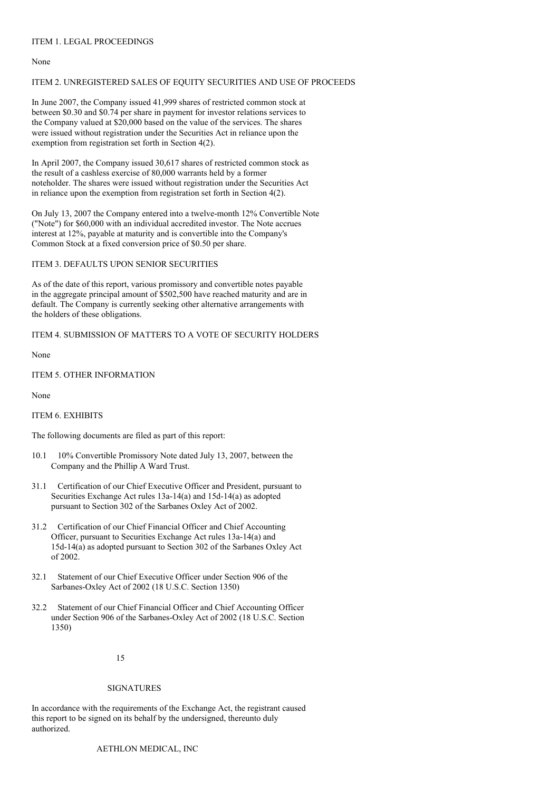#### ITEM 1. LEGAL PROCEEDINGS

None

#### ITEM 2. UNREGISTERED SALES OF EQUITY SECURITIES AND USE OF PROCEEDS

In June 2007, the Company issued 41,999 shares of restricted common stock at between \$0.30 and \$0.74 per share in payment for investor relations services to the Company valued at \$20,000 based on the value of the services. The shares were issued without registration under the Securities Act in reliance upon the exemption from registration set forth in Section 4(2).

In April 2007, the Company issued 30,617 shares of restricted common stock as the result of a cashless exercise of 80,000 warrants held by a former noteholder. The shares were issued without registration under the Securities Act in reliance upon the exemption from registration set forth in Section 4(2).

On July 13, 2007 the Company entered into a twelve-month 12% Convertible Note ("Note") for \$60,000 with an individual accredited investor. The Note accrues interest at 12%, payable at maturity and is convertible into the Company's Common Stock at a fixed conversion price of \$0.50 per share.

ITEM 3. DEFAULTS UPON SENIOR SECURITIES

As of the date of this report, various promissory and convertible notes payable in the aggregate principal amount of \$502,500 have reached maturity and are in default. The Company is currently seeking other alternative arrangements with the holders of these obligations.

ITEM 4. SUBMISSION OF MATTERS TO A VOTE OF SECURITY HOLDERS

None

### ITEM 5. OTHER INFORMATION

None

ITEM 6. EXHIBITS

The following documents are filed as part of this report:

- 10.1 10% Convertible Promissory Note dated July 13, 2007, between the Company and the Phillip A Ward Trust.
- 31.1 Certification of our Chief Executive Officer and President, pursuant to Securities Exchange Act rules 13a-14(a) and 15d-14(a) as adopted pursuant to Section 302 of the Sarbanes Oxley Act of 2002.
- 31.2 Certification of our Chief Financial Officer and Chief Accounting Officer, pursuant to Securities Exchange Act rules 13a-14(a) and 15d-14(a) as adopted pursuant to Section 302 of the Sarbanes Oxley Act of 2002.
- 32.1 Statement of our Chief Executive Officer under Section 906 of the Sarbanes-Oxley Act of 2002 (18 U.S.C. Section 1350)
- 32.2 Statement of our Chief Financial Officer and Chief Accounting Officer under Section 906 of the Sarbanes-Oxley Act of 2002 (18 U.S.C. Section 1350)

15

#### SIGNATURES

In accordance with the requirements of the Exchange Act, the registrant caused this report to be signed on its behalf by the undersigned, thereunto duly authorized.

## AETHLON MEDICAL, INC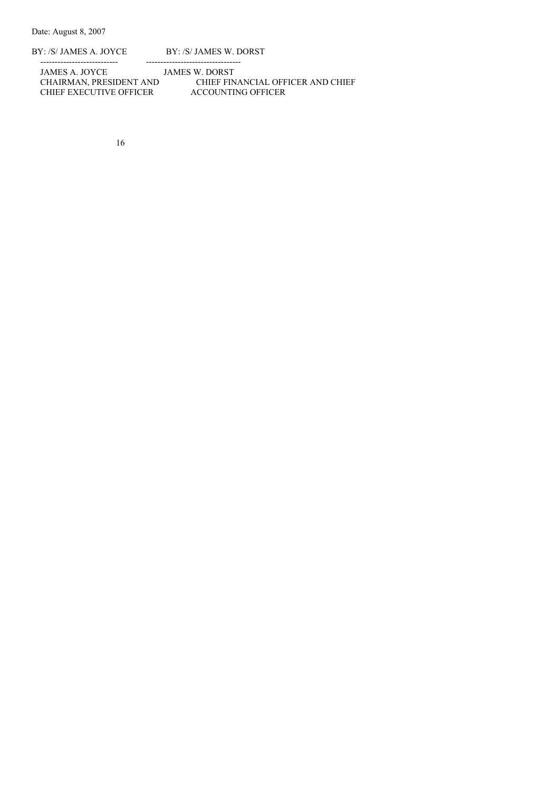Date: August 8, 2007

BY: /S/ JAMES A. JOYCE BY: /S/ JAMES W. DORST

--------------------------- --------------------------------- JAMES A. JOYCE JAMES W. DORST CHAIRMAN, PRESIDENT AND CHIEF FINANCIAL OFFICER AND CHIEF CHIEF EXECUTIVE OFFICER ACCOUNTING OFFICER

16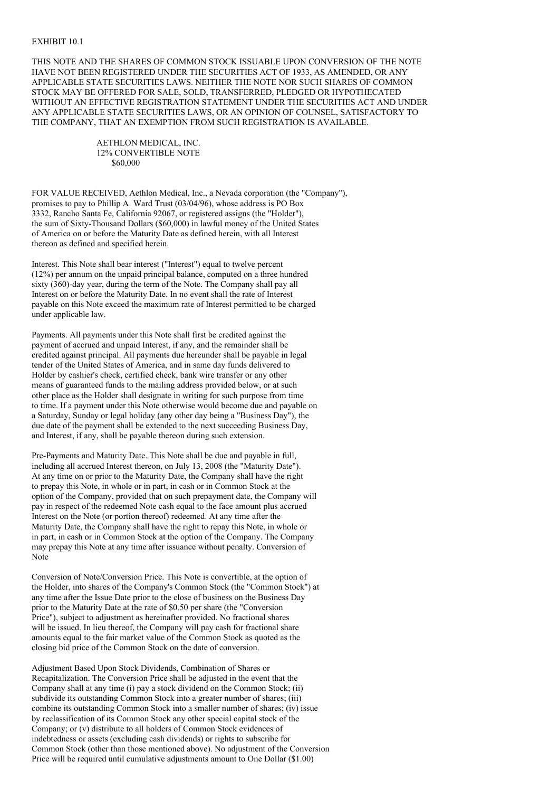## EXHIBIT 10.1

THIS NOTE AND THE SHARES OF COMMON STOCK ISSUABLE UPON CONVERSION OF THE NOTE HAVE NOT BEEN REGISTERED UNDER THE SECURITIES ACT OF 1933, AS AMENDED, OR ANY APPLICABLE STATE SECURITIES LAWS. NEITHER THE NOTE NOR SUCH SHARES OF COMMON STOCK MAY BE OFFERED FOR SALE, SOLD, TRANSFERRED, PLEDGED OR HYPOTHECATED WITHOUT AN EFFECTIVE REGISTRATION STATEMENT UNDER THE SECURITIES ACT AND UNDER ANY APPLICABLE STATE SECURITIES LAWS, OR AN OPINION OF COUNSEL, SATISFACTORY TO THE COMPANY, THAT AN EXEMPTION FROM SUCH REGISTRATION IS AVAILABLE.

> AETHLON MEDICAL, INC. 12% CONVERTIBLE NOTE \$60,000

FOR VALUE RECEIVED, Aethlon Medical, Inc., a Nevada corporation (the "Company"), promises to pay to Phillip A. Ward Trust (03/04/96), whose address is PO Box 3332, Rancho Santa Fe, California 92067, or registered assigns (the "Holder"), the sum of Sixty-Thousand Dollars (\$60,000) in lawful money of the United States of America on or before the Maturity Date as defined herein, with all Interest thereon as defined and specified herein.

Interest. This Note shall bear interest ("Interest") equal to twelve percent (12%) per annum on the unpaid principal balance, computed on a three hundred sixty (360)-day year, during the term of the Note. The Company shall pay all Interest on or before the Maturity Date. In no event shall the rate of Interest payable on this Note exceed the maximum rate of Interest permitted to be charged under applicable law.

Payments. All payments under this Note shall first be credited against the payment of accrued and unpaid Interest, if any, and the remainder shall be credited against principal. All payments due hereunder shall be payable in legal tender of the United States of America, and in same day funds delivered to Holder by cashier's check, certified check, bank wire transfer or any other means of guaranteed funds to the mailing address provided below, or at such other place as the Holder shall designate in writing for such purpose from time to time. If a payment under this Note otherwise would become due and payable on a Saturday, Sunday or legal holiday (any other day being a "Business Day"), the due date of the payment shall be extended to the next succeeding Business Day, and Interest, if any, shall be payable thereon during such extension.

Pre-Payments and Maturity Date. This Note shall be due and payable in full, including all accrued Interest thereon, on July 13, 2008 (the "Maturity Date"). At any time on or prior to the Maturity Date, the Company shall have the right to prepay this Note, in whole or in part, in cash or in Common Stock at the option of the Company, provided that on such prepayment date, the Company will pay in respect of the redeemed Note cash equal to the face amount plus accrued Interest on the Note (or portion thereof) redeemed. At any time after the Maturity Date, the Company shall have the right to repay this Note, in whole or in part, in cash or in Common Stock at the option of the Company. The Company may prepay this Note at any time after issuance without penalty. Conversion of Note

Conversion of Note/Conversion Price. This Note is convertible, at the option of the Holder, into shares of the Company's Common Stock (the "Common Stock") at any time after the Issue Date prior to the close of business on the Business Day prior to the Maturity Date at the rate of \$0.50 per share (the "Conversion Price"), subject to adjustment as hereinafter provided. No fractional shares will be issued. In lieu thereof, the Company will pay cash for fractional share amounts equal to the fair market value of the Common Stock as quoted as the closing bid price of the Common Stock on the date of conversion.

Adjustment Based Upon Stock Dividends, Combination of Shares or Recapitalization. The Conversion Price shall be adjusted in the event that the Company shall at any time (i) pay a stock dividend on the Common Stock; (ii) subdivide its outstanding Common Stock into a greater number of shares; (iii) combine its outstanding Common Stock into a smaller number of shares; (iv) issue by reclassification of its Common Stock any other special capital stock of the Company; or (v) distribute to all holders of Common Stock evidences of indebtedness or assets (excluding cash dividends) or rights to subscribe for Common Stock (other than those mentioned above). No adjustment of the Conversion Price will be required until cumulative adjustments amount to One Dollar (\$1.00)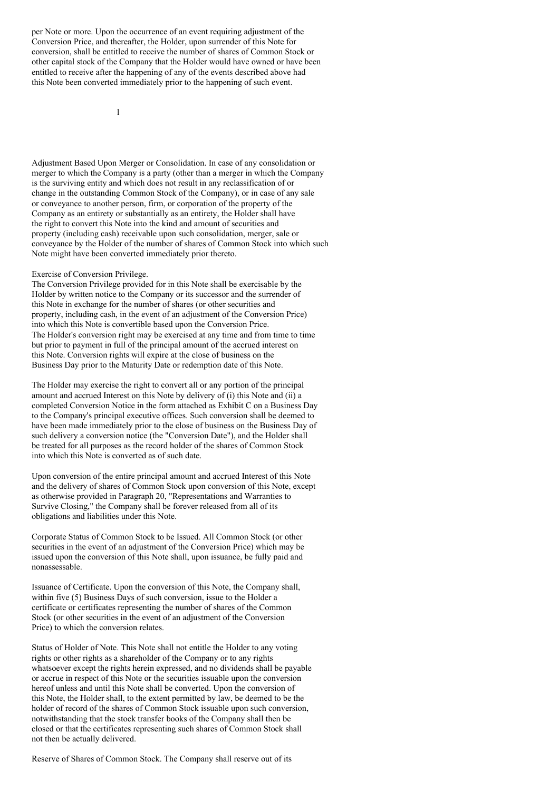per Note or more. Upon the occurrence of an event requiring adjustment of the Conversion Price, and thereafter, the Holder, upon surrender of this Note for conversion, shall be entitled to receive the number of shares of Common Stock or other capital stock of the Company that the Holder would have owned or have been entitled to receive after the happening of any of the events described above had this Note been converted immediately prior to the happening of such event.

1

Adjustment Based Upon Merger or Consolidation. In case of any consolidation or merger to which the Company is a party (other than a merger in which the Company is the surviving entity and which does not result in any reclassification of or change in the outstanding Common Stock of the Company), or in case of any sale or conveyance to another person, firm, or corporation of the property of the Company as an entirety or substantially as an entirety, the Holder shall have the right to convert this Note into the kind and amount of securities and property (including cash) receivable upon such consolidation, merger, sale or conveyance by the Holder of the number of shares of Common Stock into which such Note might have been converted immediately prior thereto.

#### Exercise of Conversion Privilege.

The Conversion Privilege provided for in this Note shall be exercisable by the Holder by written notice to the Company or its successor and the surrender of this Note in exchange for the number of shares (or other securities and property, including cash, in the event of an adjustment of the Conversion Price) into which this Note is convertible based upon the Conversion Price. The Holder's conversion right may be exercised at any time and from time to time but prior to payment in full of the principal amount of the accrued interest on this Note. Conversion rights will expire at the close of business on the Business Day prior to the Maturity Date or redemption date of this Note.

The Holder may exercise the right to convert all or any portion of the principal amount and accrued Interest on this Note by delivery of (i) this Note and (ii) a completed Conversion Notice in the form attached as Exhibit C on a Business Day to the Company's principal executive offices. Such conversion shall be deemed to have been made immediately prior to the close of business on the Business Day of such delivery a conversion notice (the "Conversion Date"), and the Holder shall be treated for all purposes as the record holder of the shares of Common Stock into which this Note is converted as of such date.

Upon conversion of the entire principal amount and accrued Interest of this Note and the delivery of shares of Common Stock upon conversion of this Note, except as otherwise provided in Paragraph 20, "Representations and Warranties to Survive Closing," the Company shall be forever released from all of its obligations and liabilities under this Note.

Corporate Status of Common Stock to be Issued. All Common Stock (or other securities in the event of an adjustment of the Conversion Price) which may be issued upon the conversion of this Note shall, upon issuance, be fully paid and nonassessable.

Issuance of Certificate. Upon the conversion of this Note, the Company shall, within five (5) Business Days of such conversion, issue to the Holder a certificate or certificates representing the number of shares of the Common Stock (or other securities in the event of an adjustment of the Conversion Price) to which the conversion relates.

Status of Holder of Note. This Note shall not entitle the Holder to any voting rights or other rights as a shareholder of the Company or to any rights whatsoever except the rights herein expressed, and no dividends shall be payable or accrue in respect of this Note or the securities issuable upon the conversion hereof unless and until this Note shall be converted. Upon the conversion of this Note, the Holder shall, to the extent permitted by law, be deemed to be the holder of record of the shares of Common Stock issuable upon such conversion, notwithstanding that the stock transfer books of the Company shall then be closed or that the certificates representing such shares of Common Stock shall not then be actually delivered.

Reserve of Shares of Common Stock. The Company shall reserve out of its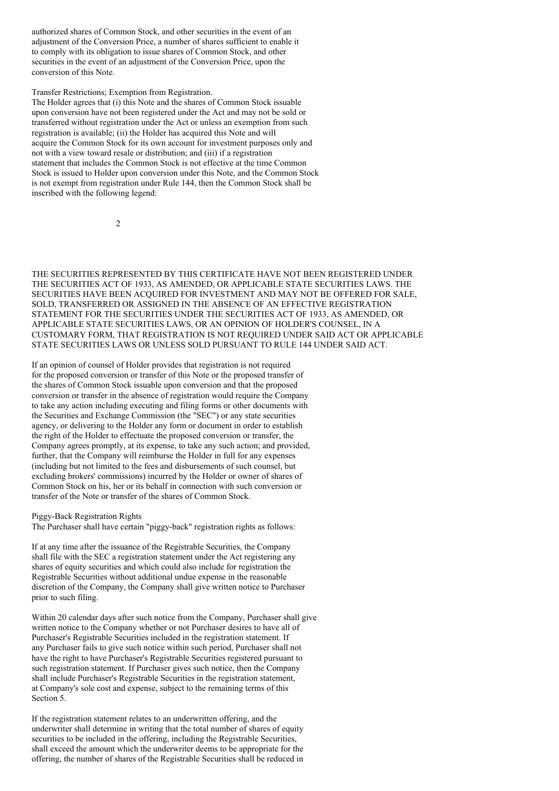authorized shares of Common Stock, and other securities in the event of an adjustment of the Conversion Price, a number of shares sufficient to enable it to comply with its obligation to issue shares of Common Stock, and other securities in the event of an adjustment of the Conversion Price, upon the conversion of this Note.

Transfer Restrictions; Exemption from Registration.

The Holder agrees that (i) this Note and the shares of Common Stock issuable upon conversion have not been registered under the Act and may not be sold or transferred without registration under the Act or unless an exemption from such registration is available; (ii) the Holder has acquired this Note and will acquire the Common Stock for its own account for investment purposes only and not with a view toward resale or distribution; and (iii) if a registration statement that includes the Common Stock is not effective at the time Common Stock is issued to Holder upon conversion under this Note, and the Common Stock is not exempt from registration under Rule 144, then the Common Stock shall be inscribed with the following legend:

2

THE SECURITIES REPRESENTED BY THIS CERTIFICATE HAVE NOT BEEN REGISTERED UNDER THE SECURITIES ACT OF 1933, AS AMENDED, OR APPLICABLE STATE SECURITIES LAWS. THE SECURITIES HAVE BEEN ACQUIRED FOR INVESTMENT AND MAY NOT BE OFFERED FOR SALE, SOLD, TRANSFERRED OR ASSIGNED IN THE ABSENCE OF AN EFFECTIVE REGISTRATION STATEMENT FOR THE SECURITIES UNDER THE SECURITIES ACT OF 1933, AS AMENDED, OR APPLICABLE STATE SECURITIES LAWS, OR AN OPINION OF HOLDER'S COUNSEL, IN A CUSTOMARY FORM, THAT REGISTRATION IS NOT REQUIRED UNDER SAID ACT OR APPLICABLE STATE SECURITIES LAWS OR UNLESS SOLD PURSUANT TO RULE 144 UNDER SAID ACT.

If an opinion of counsel of Holder provides that registration is not required for the proposed conversion or transfer of this Note or the proposed transfer of the shares of Common Stock issuable upon conversion and that the proposed conversion or transfer in the absence of registration would require the Company to take any action including executing and filing forms or other documents with the Securities and Exchange Commission (the "SEC") or any state securities agency, or delivering to the Holder any form or document in order to establish the right of the Holder to effectuate the proposed conversion or transfer, the Company agrees promptly, at its expense, to take any such action; and provided, further, that the Company will reimburse the Holder in full for any expenses (including but not limited to the fees and disbursements of such counsel, but excluding brokers' commissions) incurred by the Holder or owner of shares of Common Stock on his, her or its behalf in connection with such conversion or transfer of the Note or transfer of the shares of Common Stock.

#### Piggy-Back Registration Rights

The Purchaser shall have certain "piggy-back" registration rights as follows:

If at any time after the issuance of the Registrable Securities, the Company shall file with the SEC a registration statement under the Act registering any shares of equity securities and which could also include for registration the Registrable Securities without additional undue expense in the reasonable discretion of the Company, the Company shall give written notice to Purchaser prior to such filing.

Within 20 calendar days after such notice from the Company, Purchaser shall give written notice to the Company whether or not Purchaser desires to have all of Purchaser's Registrable Securities included in the registration statement. If any Purchaser fails to give such notice within such period, Purchaser shall not have the right to have Purchaser's Registrable Securities registered pursuant to such registration statement. If Purchaser gives such notice, then the Company shall include Purchaser's Registrable Securities in the registration statement, at Company's sole cost and expense, subject to the remaining terms of this Section 5.

If the registration statement relates to an underwritten offering, and the underwriter shall determine in writing that the total number of shares of equity securities to be included in the offering, including the Registrable Securities, shall exceed the amount which the underwriter deems to be appropriate for the offering, the number of shares of the Registrable Securities shall be reduced in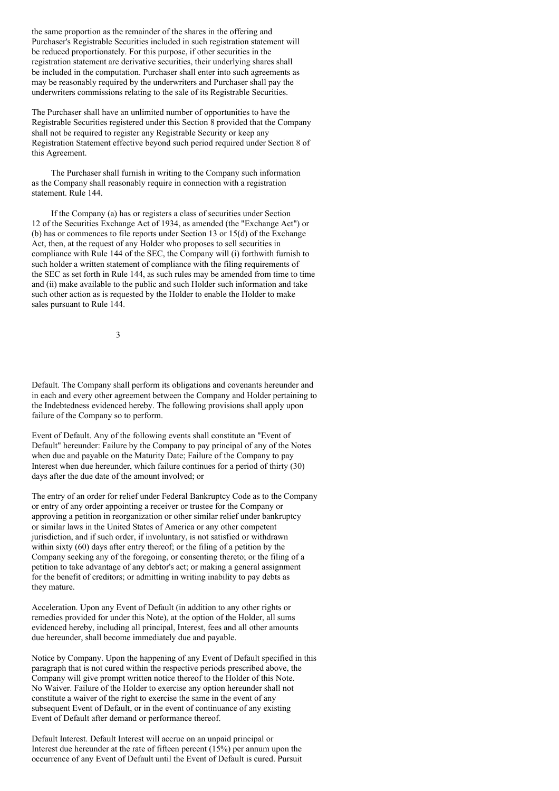the same proportion as the remainder of the shares in the offering and Purchaser's Registrable Securities included in such registration statement will be reduced proportionately. For this purpose, if other securities in the registration statement are derivative securities, their underlying shares shall be included in the computation. Purchaser shall enter into such agreements as may be reasonably required by the underwriters and Purchaser shall pay the underwriters commissions relating to the sale of its Registrable Securities.

The Purchaser shall have an unlimited number of opportunities to have the Registrable Securities registered under this Section 8 provided that the Company shall not be required to register any Registrable Security or keep any Registration Statement effective beyond such period required under Section 8 of this Agreement.

The Purchaser shall furnish in writing to the Company such information as the Company shall reasonably require in connection with a registration statement. Rule 144.

If the Company (a) has or registers a class of securities under Section 12 of the Securities Exchange Act of 1934, as amended (the "Exchange Act") or (b) has or commences to file reports under Section 13 or 15(d) of the Exchange Act, then, at the request of any Holder who proposes to sell securities in compliance with Rule 144 of the SEC, the Company will (i) forthwith furnish to such holder a written statement of compliance with the filing requirements of the SEC as set forth in Rule 144, as such rules may be amended from time to time and (ii) make available to the public and such Holder such information and take such other action as is requested by the Holder to enable the Holder to make sales pursuant to Rule 144.

|    | I       |
|----|---------|
| ۰. | ۰,<br>I |
|    |         |

Default. The Company shall perform its obligations and covenants hereunder and in each and every other agreement between the Company and Holder pertaining to the Indebtedness evidenced hereby. The following provisions shall apply upon failure of the Company so to perform.

Event of Default. Any of the following events shall constitute an "Event of Default" hereunder: Failure by the Company to pay principal of any of the Notes when due and payable on the Maturity Date; Failure of the Company to pay Interest when due hereunder, which failure continues for a period of thirty (30) days after the due date of the amount involved; or

The entry of an order for relief under Federal Bankruptcy Code as to the Company or entry of any order appointing a receiver or trustee for the Company or approving a petition in reorganization or other similar relief under bankruptcy or similar laws in the United States of America or any other competent jurisdiction, and if such order, if involuntary, is not satisfied or withdrawn within sixty (60) days after entry thereof; or the filing of a petition by the Company seeking any of the foregoing, or consenting thereto; or the filing of a petition to take advantage of any debtor's act; or making a general assignment for the benefit of creditors; or admitting in writing inability to pay debts as they mature.

Acceleration. Upon any Event of Default (in addition to any other rights or remedies provided for under this Note), at the option of the Holder, all sums evidenced hereby, including all principal, Interest, fees and all other amounts due hereunder, shall become immediately due and payable.

Notice by Company. Upon the happening of any Event of Default specified in this paragraph that is not cured within the respective periods prescribed above, the Company will give prompt written notice thereof to the Holder of this Note. No Waiver. Failure of the Holder to exercise any option hereunder shall not constitute a waiver of the right to exercise the same in the event of any subsequent Event of Default, or in the event of continuance of any existing Event of Default after demand or performance thereof.

Default Interest. Default Interest will accrue on an unpaid principal or Interest due hereunder at the rate of fifteen percent (15%) per annum upon the occurrence of any Event of Default until the Event of Default is cured. Pursuit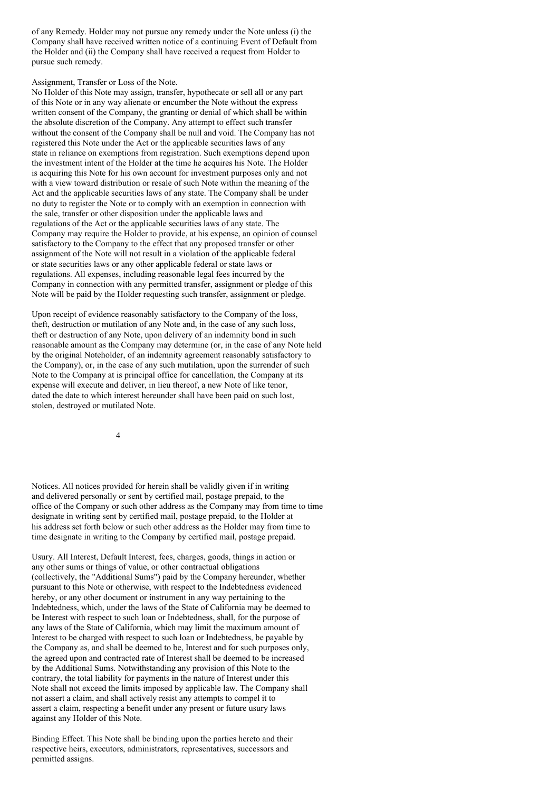of any Remedy. Holder may not pursue any remedy under the Note unless (i) the Company shall have received written notice of a continuing Event of Default from the Holder and (ii) the Company shall have received a request from Holder to pursue such remedy.

Assignment, Transfer or Loss of the Note.

No Holder of this Note may assign, transfer, hypothecate or sell all or any part of this Note or in any way alienate or encumber the Note without the express written consent of the Company, the granting or denial of which shall be within the absolute discretion of the Company. Any attempt to effect such transfer without the consent of the Company shall be null and void. The Company has not registered this Note under the Act or the applicable securities laws of any state in reliance on exemptions from registration. Such exemptions depend upon the investment intent of the Holder at the time he acquires his Note. The Holder is acquiring this Note for his own account for investment purposes only and not with a view toward distribution or resale of such Note within the meaning of the Act and the applicable securities laws of any state. The Company shall be under no duty to register the Note or to comply with an exemption in connection with the sale, transfer or other disposition under the applicable laws and regulations of the Act or the applicable securities laws of any state. The Company may require the Holder to provide, at his expense, an opinion of counsel satisfactory to the Company to the effect that any proposed transfer or other assignment of the Note will not result in a violation of the applicable federal or state securities laws or any other applicable federal or state laws or regulations. All expenses, including reasonable legal fees incurred by the Company in connection with any permitted transfer, assignment or pledge of this Note will be paid by the Holder requesting such transfer, assignment or pledge.

Upon receipt of evidence reasonably satisfactory to the Company of the loss, theft, destruction or mutilation of any Note and, in the case of any such loss, theft or destruction of any Note, upon delivery of an indemnity bond in such reasonable amount as the Company may determine (or, in the case of any Note held by the original Noteholder, of an indemnity agreement reasonably satisfactory to the Company), or, in the case of any such mutilation, upon the surrender of such Note to the Company at is principal office for cancellation, the Company at its expense will execute and deliver, in lieu thereof, a new Note of like tenor, dated the date to which interest hereunder shall have been paid on such lost, stolen, destroyed or mutilated Note.

4

Notices. All notices provided for herein shall be validly given if in writing and delivered personally or sent by certified mail, postage prepaid, to the office of the Company or such other address as the Company may from time to time designate in writing sent by certified mail, postage prepaid, to the Holder at his address set forth below or such other address as the Holder may from time to time designate in writing to the Company by certified mail, postage prepaid.

Usury. All Interest, Default Interest, fees, charges, goods, things in action or any other sums or things of value, or other contractual obligations (collectively, the "Additional Sums") paid by the Company hereunder, whether pursuant to this Note or otherwise, with respect to the Indebtedness evidenced hereby, or any other document or instrument in any way pertaining to the Indebtedness, which, under the laws of the State of California may be deemed to be Interest with respect to such loan or Indebtedness, shall, for the purpose of any laws of the State of California, which may limit the maximum amount of Interest to be charged with respect to such loan or Indebtedness, be payable by the Company as, and shall be deemed to be, Interest and for such purposes only, the agreed upon and contracted rate of Interest shall be deemed to be increased by the Additional Sums. Notwithstanding any provision of this Note to the contrary, the total liability for payments in the nature of Interest under this Note shall not exceed the limits imposed by applicable law. The Company shall not assert a claim, and shall actively resist any attempts to compel it to assert a claim, respecting a benefit under any present or future usury laws against any Holder of this Note.

Binding Effect. This Note shall be binding upon the parties hereto and their respective heirs, executors, administrators, representatives, successors and permitted assigns.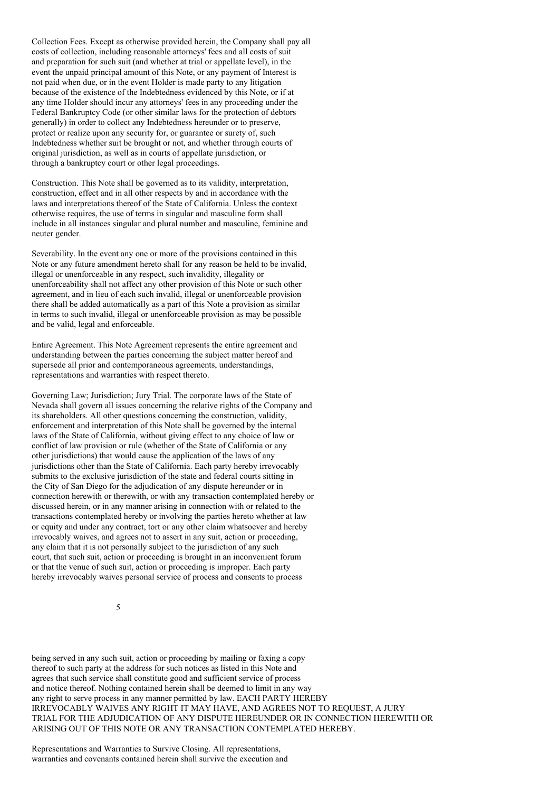Collection Fees. Except as otherwise provided herein, the Company shall pay all costs of collection, including reasonable attorneys' fees and all costs of suit and preparation for such suit (and whether at trial or appellate level), in the event the unpaid principal amount of this Note, or any payment of Interest is not paid when due, or in the event Holder is made party to any litigation because of the existence of the Indebtedness evidenced by this Note, or if at any time Holder should incur any attorneys' fees in any proceeding under the Federal Bankruptcy Code (or other similar laws for the protection of debtors generally) in order to collect any Indebtedness hereunder or to preserve, protect or realize upon any security for, or guarantee or surety of, such Indebtedness whether suit be brought or not, and whether through courts of original jurisdiction, as well as in courts of appellate jurisdiction, or through a bankruptcy court or other legal proceedings.

Construction. This Note shall be governed as to its validity, interpretation, construction, effect and in all other respects by and in accordance with the laws and interpretations thereof of the State of California. Unless the context otherwise requires, the use of terms in singular and masculine form shall include in all instances singular and plural number and masculine, feminine and neuter gender.

Severability. In the event any one or more of the provisions contained in this Note or any future amendment hereto shall for any reason be held to be invalid, illegal or unenforceable in any respect, such invalidity, illegality or unenforceability shall not affect any other provision of this Note or such other agreement, and in lieu of each such invalid, illegal or unenforceable provision there shall be added automatically as a part of this Note a provision as similar in terms to such invalid, illegal or unenforceable provision as may be possible and be valid, legal and enforceable.

Entire Agreement. This Note Agreement represents the entire agreement and understanding between the parties concerning the subject matter hereof and supersede all prior and contemporaneous agreements, understandings, representations and warranties with respect thereto.

Governing Law; Jurisdiction; Jury Trial. The corporate laws of the State of Nevada shall govern all issues concerning the relative rights of the Company and its shareholders. All other questions concerning the construction, validity, enforcement and interpretation of this Note shall be governed by the internal laws of the State of California, without giving effect to any choice of law or conflict of law provision or rule (whether of the State of California or any other jurisdictions) that would cause the application of the laws of any jurisdictions other than the State of California. Each party hereby irrevocably submits to the exclusive jurisdiction of the state and federal courts sitting in the City of San Diego for the adjudication of any dispute hereunder or in connection herewith or therewith, or with any transaction contemplated hereby or discussed herein, or in any manner arising in connection with or related to the transactions contemplated hereby or involving the parties hereto whether at law or equity and under any contract, tort or any other claim whatsoever and hereby irrevocably waives, and agrees not to assert in any suit, action or proceeding, any claim that it is not personally subject to the jurisdiction of any such court, that such suit, action or proceeding is brought in an inconvenient forum or that the venue of such suit, action or proceeding is improper. Each party hereby irrevocably waives personal service of process and consents to process

5

being served in any such suit, action or proceeding by mailing or faxing a copy thereof to such party at the address for such notices as listed in this Note and agrees that such service shall constitute good and sufficient service of process and notice thereof. Nothing contained herein shall be deemed to limit in any way any right to serve process in any manner permitted by law. EACH PARTY HEREBY IRREVOCABLY WAIVES ANY RIGHT IT MAY HAVE, AND AGREES NOT TO REQUEST, A JURY TRIAL FOR THE ADJUDICATION OF ANY DISPUTE HEREUNDER OR IN CONNECTION HEREWITH OR ARISING OUT OF THIS NOTE OR ANY TRANSACTION CONTEMPLATED HEREBY.

Representations and Warranties to Survive Closing. All representations, warranties and covenants contained herein shall survive the execution and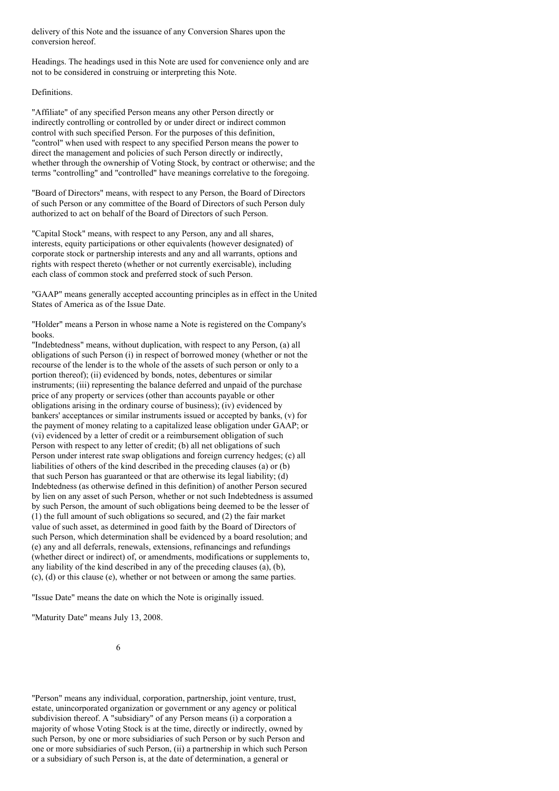delivery of this Note and the issuance of any Conversion Shares upon the conversion hereof.

Headings. The headings used in this Note are used for convenience only and are not to be considered in construing or interpreting this Note.

### Definitions.

"Affiliate" of any specified Person means any other Person directly or indirectly controlling or controlled by or under direct or indirect common control with such specified Person. For the purposes of this definition, "control" when used with respect to any specified Person means the power to direct the management and policies of such Person directly or indirectly, whether through the ownership of Voting Stock, by contract or otherwise; and the terms "controlling" and "controlled" have meanings correlative to the foregoing.

"Board of Directors" means, with respect to any Person, the Board of Directors of such Person or any committee of the Board of Directors of such Person duly authorized to act on behalf of the Board of Directors of such Person.

"Capital Stock" means, with respect to any Person, any and all shares, interests, equity participations or other equivalents (however designated) of corporate stock or partnership interests and any and all warrants, options and rights with respect thereto (whether or not currently exercisable), including each class of common stock and preferred stock of such Person.

"GAAP" means generally accepted accounting principles as in effect in the United States of America as of the Issue Date.

"Holder" means a Person in whose name a Note is registered on the Company's books.

"Indebtedness" means, without duplication, with respect to any Person, (a) all obligations of such Person (i) in respect of borrowed money (whether or not the recourse of the lender is to the whole of the assets of such person or only to a portion thereof); (ii) evidenced by bonds, notes, debentures or similar instruments; (iii) representing the balance deferred and unpaid of the purchase price of any property or services (other than accounts payable or other obligations arising in the ordinary course of business); (iv) evidenced by bankers' acceptances or similar instruments issued or accepted by banks, (v) for the payment of money relating to a capitalized lease obligation under GAAP; or (vi) evidenced by a letter of credit or a reimbursement obligation of such Person with respect to any letter of credit; (b) all net obligations of such Person under interest rate swap obligations and foreign currency hedges; (c) all liabilities of others of the kind described in the preceding clauses (a) or (b) that such Person has guaranteed or that are otherwise its legal liability; (d) Indebtedness (as otherwise defined in this definition) of another Person secured by lien on any asset of such Person, whether or not such Indebtedness is assumed by such Person, the amount of such obligations being deemed to be the lesser of (1) the full amount of such obligations so secured, and (2) the fair market value of such asset, as determined in good faith by the Board of Directors of such Person, which determination shall be evidenced by a board resolution; and (e) any and all deferrals, renewals, extensions, refinancings and refundings (whether direct or indirect) of, or amendments, modifications or supplements to, any liability of the kind described in any of the preceding clauses (a), (b), (c), (d) or this clause (e), whether or not between or among the same parties.

"Issue Date" means the date on which the Note is originally issued.

"Maturity Date" means July 13, 2008.

"Person" means any individual, corporation, partnership, joint venture, trust, estate, unincorporated organization or government or any agency or political subdivision thereof. A "subsidiary" of any Person means (i) a corporation a majority of whose Voting Stock is at the time, directly or indirectly, owned by such Person, by one or more subsidiaries of such Person or by such Person and one or more subsidiaries of such Person, (ii) a partnership in which such Person or a subsidiary of such Person is, at the date of determination, a general or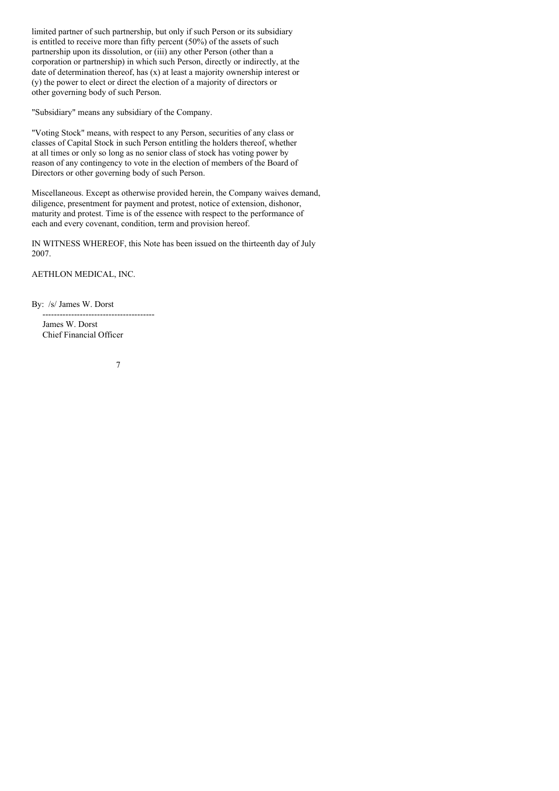limited partner of such partnership, but only if such Person or its subsidiary is entitled to receive more than fifty percent (50%) of the assets of such partnership upon its dissolution, or (iii) any other Person (other than a corporation or partnership) in which such Person, directly or indirectly, at the date of determination thereof, has (x) at least a majority ownership interest or (y) the power to elect or direct the election of a majority of directors or other governing body of such Person.

"Subsidiary" means any subsidiary of the Company.

"Voting Stock" means, with respect to any Person, securities of any class or classes of Capital Stock in such Person entitling the holders thereof, whether at all times or only so long as no senior class of stock has voting power by reason of any contingency to vote in the election of members of the Board of Directors or other governing body of such Person.

Miscellaneous. Except as otherwise provided herein, the Company waives demand, diligence, presentment for payment and protest, notice of extension, dishonor, maturity and protest. Time is of the essence with respect to the performance of each and every covenant, condition, term and provision hereof.

IN WITNESS WHEREOF, this Note has been issued on the thirteenth day of July 2007.

AETHLON MEDICAL, INC.

By: /s/ James W. Dorst

James W. Dorst Chief Financial Officer

---------------------------------------

7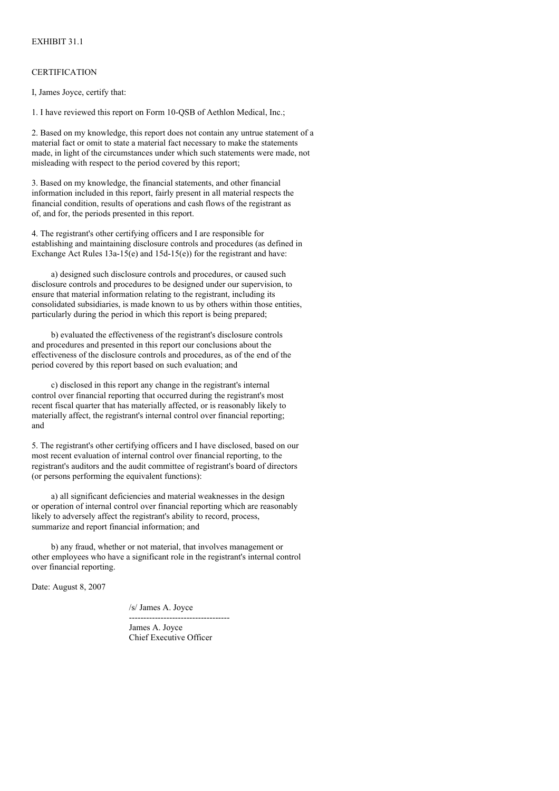#### EXHIBIT 31.1

#### **CERTIFICATION**

I, James Joyce, certify that:

1. I have reviewed this report on Form 10-QSB of Aethlon Medical, Inc.;

2. Based on my knowledge, this report does not contain any untrue statement of a material fact or omit to state a material fact necessary to make the statements made, in light of the circumstances under which such statements were made, not misleading with respect to the period covered by this report;

3. Based on my knowledge, the financial statements, and other financial information included in this report, fairly present in all material respects the financial condition, results of operations and cash flows of the registrant as of, and for, the periods presented in this report.

4. The registrant's other certifying officers and I are responsible for establishing and maintaining disclosure controls and procedures (as defined in Exchange Act Rules  $13a-15(e)$  and  $15d-15(e)$  for the registrant and have:

a) designed such disclosure controls and procedures, or caused such disclosure controls and procedures to be designed under our supervision, to ensure that material information relating to the registrant, including its consolidated subsidiaries, is made known to us by others within those entities, particularly during the period in which this report is being prepared;

b) evaluated the effectiveness of the registrant's disclosure controls and procedures and presented in this report our conclusions about the effectiveness of the disclosure controls and procedures, as of the end of the period covered by this report based on such evaluation; and

c) disclosed in this report any change in the registrant's internal control over financial reporting that occurred during the registrant's most recent fiscal quarter that has materially affected, or is reasonably likely to materially affect, the registrant's internal control over financial reporting; and

5. The registrant's other certifying officers and I have disclosed, based on our most recent evaluation of internal control over financial reporting, to the registrant's auditors and the audit committee of registrant's board of directors (or persons performing the equivalent functions):

a) all significant deficiencies and material weaknesses in the design or operation of internal control over financial reporting which are reasonably likely to adversely affect the registrant's ability to record, process, summarize and report financial information; and

b) any fraud, whether or not material, that involves management or other employees who have a significant role in the registrant's internal control over financial reporting.

Date: August 8, 2007

/s/ James A. Joyce -----------------------------------

James A. Joyce Chief Executive Officer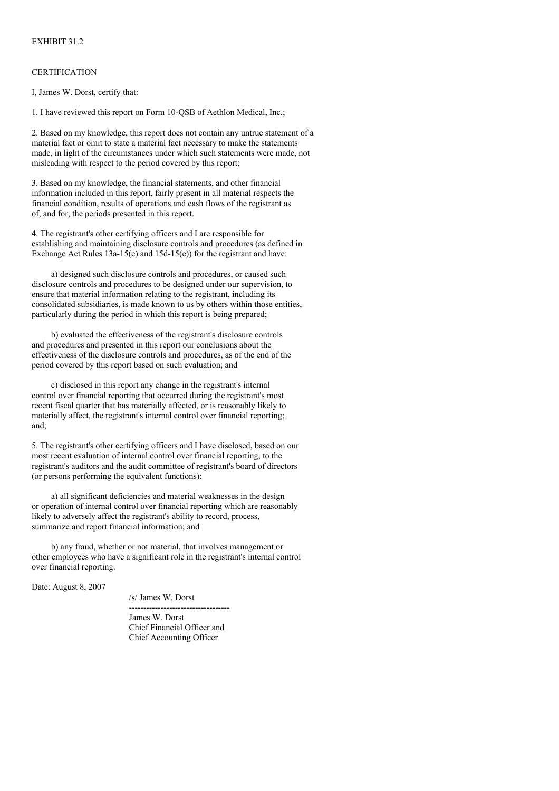#### EXHIBIT 31.2

#### **CERTIFICATION**

I, James W. Dorst, certify that:

1. I have reviewed this report on Form 10-QSB of Aethlon Medical, Inc.;

2. Based on my knowledge, this report does not contain any untrue statement of a material fact or omit to state a material fact necessary to make the statements made, in light of the circumstances under which such statements were made, not misleading with respect to the period covered by this report;

3. Based on my knowledge, the financial statements, and other financial information included in this report, fairly present in all material respects the financial condition, results of operations and cash flows of the registrant as of, and for, the periods presented in this report.

4. The registrant's other certifying officers and I are responsible for establishing and maintaining disclosure controls and procedures (as defined in Exchange Act Rules  $13a-15(e)$  and  $15d-15(e)$  for the registrant and have:

a) designed such disclosure controls and procedures, or caused such disclosure controls and procedures to be designed under our supervision, to ensure that material information relating to the registrant, including its consolidated subsidiaries, is made known to us by others within those entities, particularly during the period in which this report is being prepared;

b) evaluated the effectiveness of the registrant's disclosure controls and procedures and presented in this report our conclusions about the effectiveness of the disclosure controls and procedures, as of the end of the period covered by this report based on such evaluation; and

c) disclosed in this report any change in the registrant's internal control over financial reporting that occurred during the registrant's most recent fiscal quarter that has materially affected, or is reasonably likely to materially affect, the registrant's internal control over financial reporting; and;

5. The registrant's other certifying officers and I have disclosed, based on our most recent evaluation of internal control over financial reporting, to the registrant's auditors and the audit committee of registrant's board of directors (or persons performing the equivalent functions):

a) all significant deficiencies and material weaknesses in the design or operation of internal control over financial reporting which are reasonably likely to adversely affect the registrant's ability to record, process, summarize and report financial information; and

b) any fraud, whether or not material, that involves management or other employees who have a significant role in the registrant's internal control over financial reporting.

Date: August 8, 2007

/s/ James W. Dorst

----------------------------------- James W. Dorst Chief Financial Officer and Chief Accounting Officer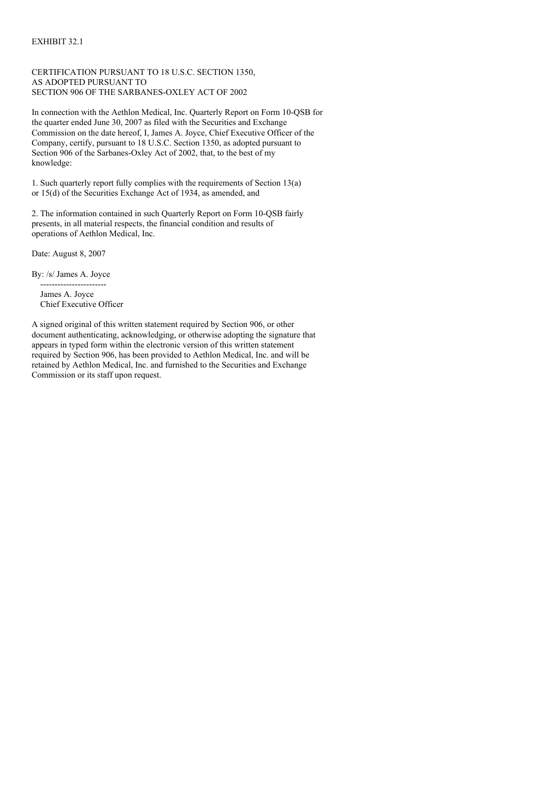#### EXHIBIT 32.1

## CERTIFICATION PURSUANT TO 18 U.S.C. SECTION 1350, AS ADOPTED PURSUANT TO SECTION 906 OF THE SARBANES-OXLEY ACT OF 2002

In connection with the Aethlon Medical, Inc. Quarterly Report on Form 10-QSB for the quarter ended June 30, 2007 as filed with the Securities and Exchange Commission on the date hereof, I, James A. Joyce, Chief Executive Officer of the Company, certify, pursuant to 18 U.S.C. Section 1350, as adopted pursuant to Section 906 of the Sarbanes-Oxley Act of 2002, that, to the best of my knowledge:

1. Such quarterly report fully complies with the requirements of Section 13(a) or 15(d) of the Securities Exchange Act of 1934, as amended, and

2. The information contained in such Quarterly Report on Form 10-QSB fairly presents, in all material respects, the financial condition and results of operations of Aethlon Medical, Inc.

Date: August 8, 2007

By: /s/ James A. Joyce

----------------------- James A. Joyce Chief Executive Officer

A signed original of this written statement required by Section 906, or other document authenticating, acknowledging, or otherwise adopting the signature that appears in typed form within the electronic version of this written statement required by Section 906, has been provided to Aethlon Medical, Inc. and will be retained by Aethlon Medical, Inc. and furnished to the Securities and Exchange Commission or its staff upon request.